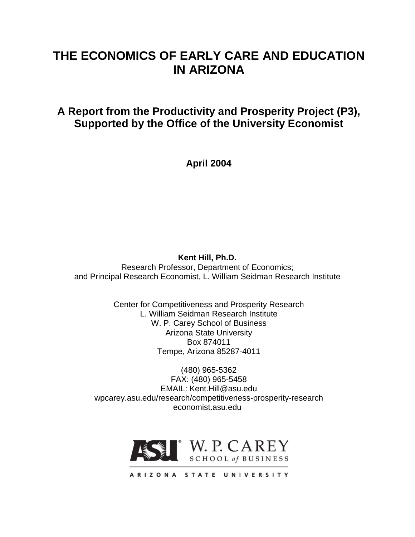# **THE ECONOMICS OF EARLY CARE AND EDUCATION IN ARIZONA**

**A Report from the Productivity and Prosperity Project (P3), Supported by the Office of the University Economist**

**April 2004**

## **Kent Hill, Ph.D.**

Research Professor, Department of Economics; and Principal Research Economist, L. William Seidman Research Institute

> Center for Competitiveness and Prosperity Research L. William Seidman Research Institute W. P. Carey School of Business Arizona State University Box 874011 Tempe, Arizona 85287-4011

(480) 965-5362 FAX: (480) 965-5458 EMAIL: Kent.Hill@asu.edu wpcarey.asu.edu/research/competitiveness-prosperity-research economist.asu.edu



ARIZONA STATE UNIVERSITY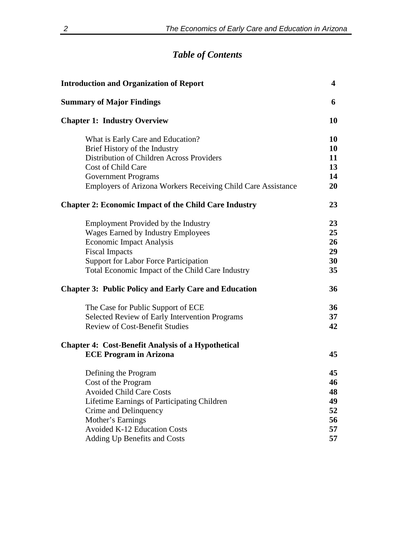# *Table of Contents*

| <b>Introduction and Organization of Report</b>                      | 4         |
|---------------------------------------------------------------------|-----------|
| <b>Summary of Major Findings</b>                                    | 6         |
| <b>Chapter 1: Industry Overview</b>                                 | 10        |
| What is Early Care and Education?                                   | 10        |
| Brief History of the Industry                                       | 10        |
| Distribution of Children Across Providers                           | 11        |
| Cost of Child Care                                                  | 13        |
| Government Programs                                                 | 14        |
| <b>Employers of Arizona Workers Receiving Child Care Assistance</b> | <b>20</b> |
| <b>Chapter 2: Economic Impact of the Child Care Industry</b>        | 23        |
| Employment Provided by the Industry                                 | 23        |
| <b>Wages Earned by Industry Employees</b>                           | 25        |
| <b>Economic Impact Analysis</b>                                     | 26        |
| <b>Fiscal Impacts</b>                                               | 29        |
| <b>Support for Labor Force Participation</b>                        | 30        |
| Total Economic Impact of the Child Care Industry                    | 35        |
| <b>Chapter 3: Public Policy and Early Care and Education</b>        | 36        |
| The Case for Public Support of ECE                                  | 36        |
| Selected Review of Early Intervention Programs                      | 37        |
| <b>Review of Cost-Benefit Studies</b>                               | 42        |
| <b>Chapter 4: Cost-Benefit Analysis of a Hypothetical</b>           |           |
| <b>ECE Program in Arizona</b>                                       | 45        |
| Defining the Program                                                | 45        |
| Cost of the Program                                                 | 46        |
| <b>Avoided Child Care Costs</b>                                     | 48        |
| Lifetime Earnings of Participating Children                         | 49        |
| Crime and Delinquency                                               | 52        |
| Mother's Earnings                                                   | 56        |
| <b>Avoided K-12 Education Costs</b>                                 | 57        |
| Adding Up Benefits and Costs                                        | 57        |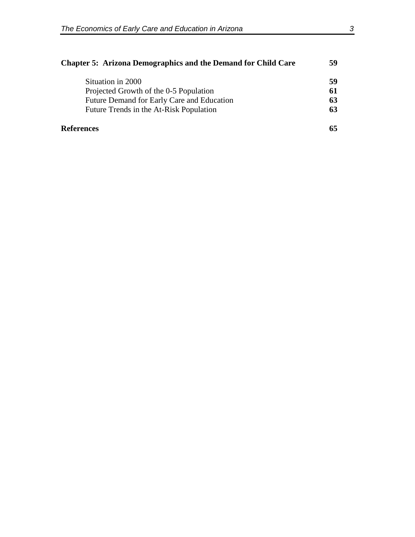| <b>Chapter 5: Arizona Demographics and the Demand for Child Care</b> |    |
|----------------------------------------------------------------------|----|
| Situation in 2000                                                    | 59 |
| Projected Growth of the 0-5 Population                               | 61 |
| Future Demand for Early Care and Education                           | 63 |
| Future Trends in the At-Risk Population                              | 63 |
| <b>References</b>                                                    |    |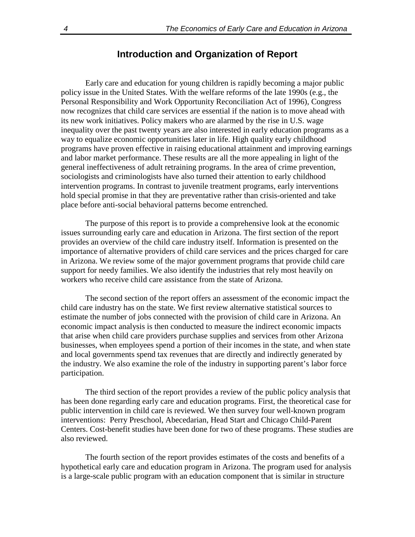## **Introduction and Organization of Report**

Early care and education for young children is rapidly becoming a major public policy issue in the United States. With the welfare reforms of the late 1990s (e.g., the Personal Responsibility and Work Opportunity Reconciliation Act of 1996), Congress now recognizes that child care services are essential if the nation is to move ahead with its new work initiatives. Policy makers who are alarmed by the rise in U.S. wage inequality over the past twenty years are also interested in early education programs as a way to equalize economic opportunities later in life. High quality early childhood programs have proven effective in raising educational attainment and improving earnings and labor market performance. These results are all the more appealing in light of the general ineffectiveness of adult retraining programs. In the area of crime prevention, sociologists and criminologists have also turned their attention to early childhood intervention programs. In contrast to juvenile treatment programs, early interventions hold special promise in that they are preventative rather than crisis-oriented and take place before anti-social behavioral patterns become entrenched.

The purpose of this report is to provide a comprehensive look at the economic issues surrounding early care and education in Arizona. The first section of the report provides an overview of the child care industry itself. Information is presented on the importance of alternative providers of child care services and the prices charged for care in Arizona. We review some of the major government programs that provide child care support for needy families. We also identify the industries that rely most heavily on workers who receive child care assistance from the state of Arizona.

The second section of the report offers an assessment of the economic impact the child care industry has on the state. We first review alternative statistical sources to estimate the number of jobs connected with the provision of child care in Arizona. An economic impact analysis is then conducted to measure the indirect economic impacts that arise when child care providers purchase supplies and services from other Arizona businesses, when employees spend a portion of their incomes in the state, and when state and local governments spend tax revenues that are directly and indirectly generated by the industry. We also examine the role of the industry in supporting parent's labor force participation.

The third section of the report provides a review of the public policy analysis that has been done regarding early care and education programs. First, the theoretical case for public intervention in child care is reviewed. We then survey four well-known program interventions: Perry Preschool, Abecedarian, Head Start and Chicago Child-Parent Centers. Cost-benefit studies have been done for two of these programs. These studies are also reviewed.

The fourth section of the report provides estimates of the costs and benefits of a hypothetical early care and education program in Arizona. The program used for analysis is a large-scale public program with an education component that is similar in structure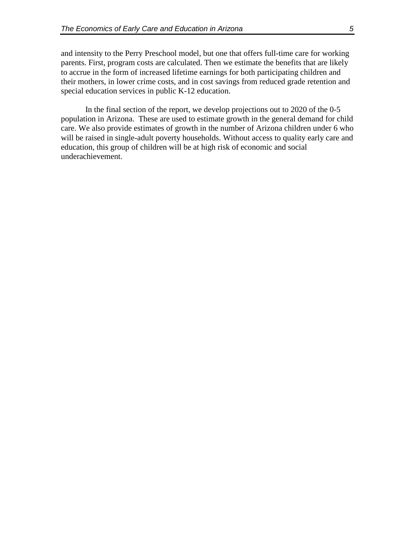and intensity to the Perry Preschool model, but one that offers full-time care for working parents. First, program costs are calculated. Then we estimate the benefits that are likely to accrue in the form of increased lifetime earnings for both participating children and their mothers, in lower crime costs, and in cost savings from reduced grade retention and special education services in public K-12 education.

In the final section of the report, we develop projections out to 2020 of the 0-5 population in Arizona. These are used to estimate growth in the general demand for child care. We also provide estimates of growth in the number of Arizona children under 6 who will be raised in single-adult poverty households. Without access to quality early care and education, this group of children will be at high risk of economic and social underachievement.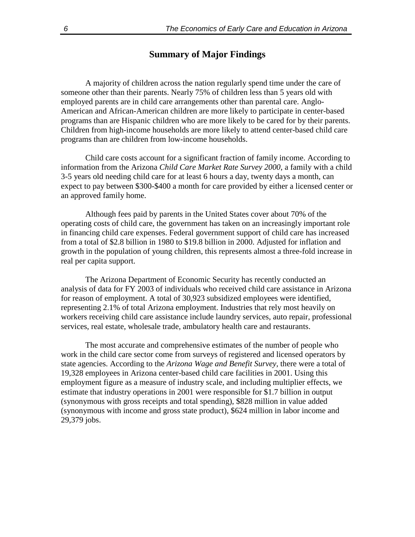## **Summary of Major Findings**

A majority of children across the nation regularly spend time under the care of someone other than their parents. Nearly 75% of children less than 5 years old with employed parents are in child care arrangements other than parental care. Anglo-American and African-American children are more likely to participate in center-based programs than are Hispanic children who are more likely to be cared for by their parents. Children from high-income households are more likely to attend center-based child care programs than are children from low-income households.

Child care costs account for a significant fraction of family income. According to information from the Arizona *Child Care Market Rate Survey 2000*, a family with a child 3-5 years old needing child care for at least 6 hours a day, twenty days a month, can expect to pay between \$300-\$400 a month for care provided by either a licensed center or an approved family home.

Although fees paid by parents in the United States cover about 70% of the operating costs of child care, the government has taken on an increasingly important role in financing child care expenses. Federal government support of child care has increased from a total of \$2.8 billion in 1980 to \$19.8 billion in 2000. Adjusted for inflation and growth in the population of young children, this represents almost a three-fold increase in real per capita support.

The Arizona Department of Economic Security has recently conducted an analysis of data for FY 2003 of individuals who received child care assistance in Arizona for reason of employment. A total of 30,923 subsidized employees were identified, representing 2.1% of total Arizona employment. Industries that rely most heavily on workers receiving child care assistance include laundry services, auto repair, professional services, real estate, wholesale trade, ambulatory health care and restaurants.

The most accurate and comprehensive estimates of the number of people who work in the child care sector come from surveys of registered and licensed operators by state agencies. According to the *Arizona Wage and Benefit Survey,* there were a total of 19,328 employees in Arizona center-based child care facilities in 2001. Using this employment figure as a measure of industry scale, and including multiplier effects, we estimate that industry operations in 2001 were responsible for \$1.7 billion in output (synonymous with gross receipts and total spending), \$828 million in value added (synonymous with income and gross state product), \$624 million in labor income and 29,379 jobs.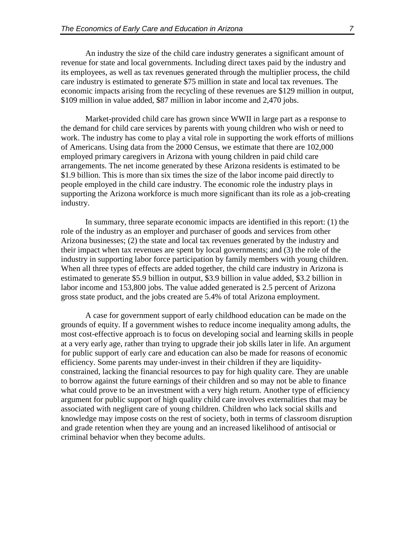An industry the size of the child care industry generates a significant amount of revenue for state and local governments. Including direct taxes paid by the industry and its employees, as well as tax revenues generated through the multiplier process, the child care industry is estimated to generate \$75 million in state and local tax revenues. The economic impacts arising from the recycling of these revenues are \$129 million in output, \$109 million in value added, \$87 million in labor income and 2,470 jobs.

Market-provided child care has grown since WWII in large part as a response to the demand for child care services by parents with young children who wish or need to work. The industry has come to play a vital role in supporting the work efforts of millions of Americans. Using data from the 2000 Census, we estimate that there are 102,000 employed primary caregivers in Arizona with young children in paid child care arrangements. The net income generated by these Arizona residents is estimated to be \$1.9 billion. This is more than six times the size of the labor income paid directly to people employed in the child care industry. The economic role the industry plays in supporting the Arizona workforce is much more significant than its role as a job-creating industry.

In summary, three separate economic impacts are identified in this report: (1) the role of the industry as an employer and purchaser of goods and services from other Arizona businesses; (2) the state and local tax revenues generated by the industry and their impact when tax revenues are spent by local governments; and (3) the role of the industry in supporting labor force participation by family members with young children. When all three types of effects are added together, the child care industry in Arizona is estimated to generate \$5.9 billion in output, \$3.9 billion in value added, \$3.2 billion in labor income and 153,800 jobs. The value added generated is 2.5 percent of Arizona gross state product, and the jobs created are 5.4% of total Arizona employment.

A case for government support of early childhood education can be made on the grounds of equity. If a government wishes to reduce income inequality among adults, the most cost-effective approach is to focus on developing social and learning skills in people at a very early age, rather than trying to upgrade their job skills later in life. An argument for public support of early care and education can also be made for reasons of economic efficiency. Some parents may under-invest in their children if they are liquidityconstrained*,* lacking the financial resources to pay for high quality care. They are unable to borrow against the future earnings of their children and so may not be able to finance what could prove to be an investment with a very high return. Another type of efficiency argument for public support of high quality child care involves externalities that may be associated with negligent care of young children. Children who lack social skills and knowledge may impose costs on the rest of society, both in terms of classroom disruption and grade retention when they are young and an increased likelihood of antisocial or criminal behavior when they become adults.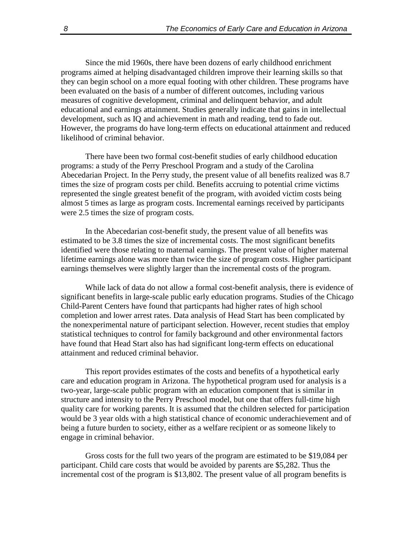Since the mid 1960s, there have been dozens of early childhood enrichment programs aimed at helping disadvantaged children improve their learning skills so that they can begin school on a more equal footing with other children. These programs have been evaluated on the basis of a number of different outcomes, including various measures of cognitive development, criminal and delinquent behavior, and adult educational and earnings attainment. Studies generally indicate that gains in intellectual development, such as IQ and achievement in math and reading, tend to fade out. However, the programs do have long-term effects on educational attainment and reduced likelihood of criminal behavior.

There have been two formal cost-benefit studies of early childhood education programs: a study of the Perry Preschool Program and a study of the Carolina Abecedarian Project. In the Perry study, the present value of all benefits realized was 8.7 times the size of program costs per child. Benefits accruing to potential crime victims represented the single greatest benefit of the program, with avoided victim costs being almost 5 times as large as program costs. Incremental earnings received by participants were 2.5 times the size of program costs.

In the Abecedarian cost-benefit study, the present value of all benefits was estimated to be 3.8 times the size of incremental costs. The most significant benefits identified were those relating to maternal earnings. The present value of higher maternal lifetime earnings alone was more than twice the size of program costs. Higher participant earnings themselves were slightly larger than the incremental costs of the program.

While lack of data do not allow a formal cost-benefit analysis, there is evidence of significant benefits in large-scale public early education programs. Studies of the Chicago Child-Parent Centers have found that particpants had higher rates of high school completion and lower arrest rates. Data analysis of Head Start has been complicated by the nonexperimental nature of participant selection. However, recent studies that employ statistical techniques to control for family background and other environmental factors have found that Head Start also has had significant long-term effects on educational attainment and reduced criminal behavior.

This report provides estimates of the costs and benefits of a hypothetical early care and education program in Arizona. The hypothetical program used for analysis is a two-year, large-scale public program with an education component that is similar in structure and intensity to the Perry Preschool model, but one that offers full-time high quality care for working parents. It is assumed that the children selected for participation would be 3 year olds with a high statistical chance of economic underachievement and of being a future burden to society, either as a welfare recipient or as someone likely to engage in criminal behavior.

Gross costs for the full two years of the program are estimated to be \$19,084 per participant. Child care costs that would be avoided by parents are \$5,282. Thus the incremental cost of the program is \$13,802. The present value of all program benefits is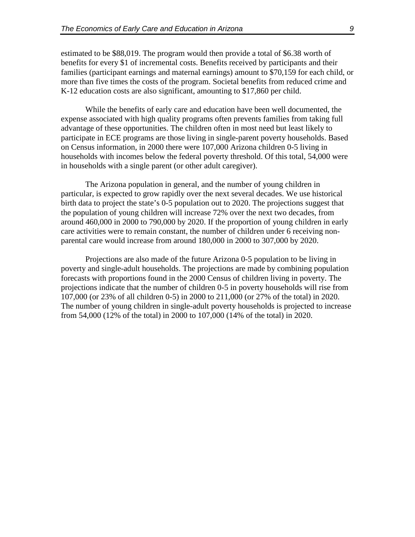estimated to be \$88,019. The program would then provide a total of \$6.38 worth of benefits for every \$1 of incremental costs. Benefits received by participants and their families (participant earnings and maternal earnings) amount to \$70,159 for each child, or more than five times the costs of the program. Societal benefits from reduced crime and K-12 education costs are also significant, amounting to \$17,860 per child.

While the benefits of early care and education have been well documented, the expense associated with high quality programs often prevents families from taking full advantage of these opportunities. The children often in most need but least likely to participate in ECE programs are those living in single-parent poverty households. Based on Census information, in 2000 there were 107,000 Arizona children 0-5 living in households with incomes below the federal poverty threshold. Of this total, 54,000 were in households with a single parent (or other adult caregiver).

The Arizona population in general, and the number of young children in particular, is expected to grow rapidly over the next several decades. We use historical birth data to project the state's 0-5 population out to 2020. The projections suggest that the population of young children will increase 72% over the next two decades, from around 460,000 in 2000 to 790,000 by 2020. If the proportion of young children in early care activities were to remain constant, the number of children under 6 receiving nonparental care would increase from around 180,000 in 2000 to 307,000 by 2020.

Projections are also made of the future Arizona 0-5 population to be living in poverty and single-adult households. The projections are made by combining population forecasts with proportions found in the 2000 Census of children living in poverty. The projections indicate that the number of children 0-5 in poverty households will rise from 107,000 (or 23% of all children 0-5) in 2000 to 211,000 (or 27% of the total) in 2020. The number of young children in single-adult poverty households is projected to increase from 54,000 (12% of the total) in 2000 to 107,000 (14% of the total) in 2020.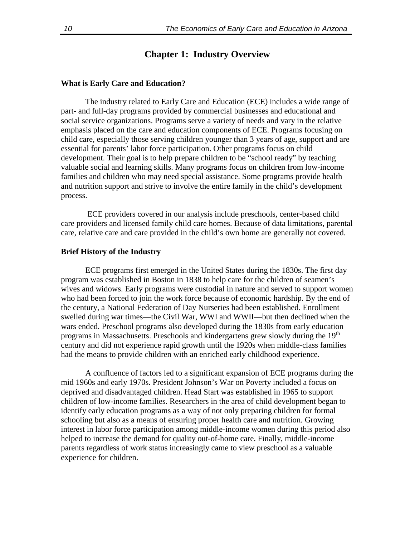## **Chapter 1: Industry Overview**

#### **What is Early Care and Education?**

The industry related to Early Care and Education (ECE) includes a wide range of part- and full-day programs provided by commercial businesses and educational and social service organizations. Programs serve a variety of needs and vary in the relative emphasis placed on the care and education components of ECE. Programs focusing on child care, especially those serving children younger than 3 years of age, support and are essential for parents' labor force participation. Other programs focus on child development. Their goal is to help prepare children to be "school ready" by teaching valuable social and learning skills. Many programs focus on children from low-income families and children who may need special assistance. Some programs provide health and nutrition support and strive to involve the entire family in the child's development process.

ECE providers covered in our analysis include preschools, center-based child care providers and licensed family child care homes. Because of data limitations, parental care, relative care and care provided in the child's own home are generally not covered.

#### **Brief History of the Industry**

ECE programs first emerged in the United States during the 1830s. The first day program was established in Boston in 1838 to help care for the children of seamen's wives and widows. Early programs were custodial in nature and served to support women who had been forced to join the work force because of economic hardship. By the end of the century, a National Federation of Day Nurseries had been established. Enrollment swelled during war times—the Civil War, WWI and WWII—but then declined when the wars ended. Preschool programs also developed during the 1830s from early education programs in Massachusetts. Preschools and kindergartens grew slowly during the 19<sup>th</sup> century and did not experience rapid growth until the 1920s when middle-class families had the means to provide children with an enriched early childhood experience.

A confluence of factors led to a significant expansion of ECE programs during the mid 1960s and early 1970s. President Johnson's War on Poverty included a focus on deprived and disadvantaged children. Head Start was established in 1965 to support children of low-income families. Researchers in the area of child development began to identify early education programs as a way of not only preparing children for formal schooling but also as a means of ensuring proper health care and nutrition. Growing interest in labor force participation among middle-income women during this period also helped to increase the demand for quality out-of-home care. Finally, middle-income parents regardless of work status increasingly came to view preschool as a valuable experience for children.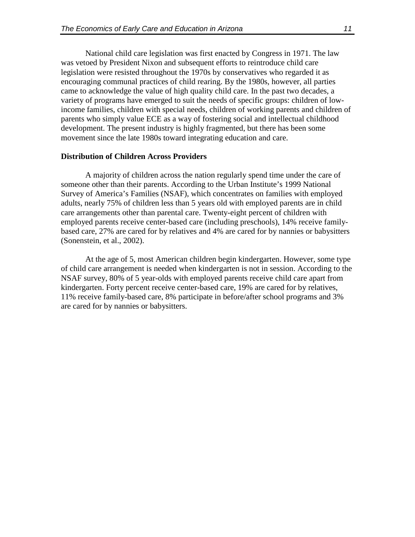National child care legislation was first enacted by Congress in 1971. The law was vetoed by President Nixon and subsequent efforts to reintroduce child care legislation were resisted throughout the 1970s by conservatives who regarded it as encouraging communal practices of child rearing. By the 1980s, however, all parties came to acknowledge the value of high quality child care. In the past two decades, a variety of programs have emerged to suit the needs of specific groups: children of lowincome families, children with special needs, children of working parents and children of parents who simply value ECE as a way of fostering social and intellectual childhood development. The present industry is highly fragmented, but there has been some movement since the late 1980s toward integrating education and care.

#### **Distribution of Children Across Providers**

A majority of children across the nation regularly spend time under the care of someone other than their parents. According to the Urban Institute's 1999 National Survey of America's Families (NSAF), which concentrates on families with employed adults, nearly 75% of children less than 5 years old with employed parents are in child care arrangements other than parental care. Twenty-eight percent of children with employed parents receive center-based care (including preschools), 14% receive familybased care, 27% are cared for by relatives and 4% are cared for by nannies or babysitters (Sonenstein, et al., 2002).

At the age of 5, most American children begin kindergarten. However, some type of child care arrangement is needed when kindergarten is not in session. According to the NSAF survey, 80% of 5 year-olds with employed parents receive child care apart from kindergarten. Forty percent receive center-based care, 19% are cared for by relatives, 11% receive family-based care, 8% participate in before/after school programs and 3% are cared for by nannies or babysitters.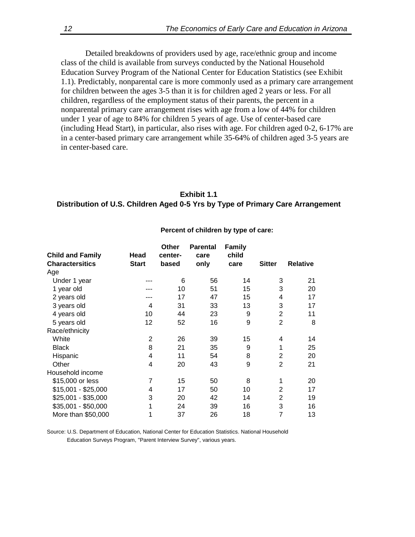Detailed breakdowns of providers used by age, race/ethnic group and income class of the child is available from surveys conducted by the National Household Education Survey Program of the National Center for Education Statistics (see Exhibit 1.1). Predictably, nonparental care is more commonly used as a primary care arrangement for children between the ages 3-5 than it is for children aged 2 years or less. For all children, regardless of the employment status of their parents, the percent in a nonparental primary care arrangement rises with age from a low of 44% for children under 1 year of age to 84% for children 5 years of age. Use of center-based care (including Head Start), in particular, also rises with age. For children aged 0-2, 6-17% are in a center-based primary care arrangement while 35-64% of children aged 3-5 years are in center-based care.

## **Exhibit 1.1 Distribution of U.S. Children Aged 0-5 Yrs by Type of Primary Care Arrangement**

| <b>Child and Family</b><br><b>Charactersitics</b> | Head<br><b>Start</b> | <b>Other</b><br>center-<br>based | <b>Parental</b><br>care<br>only | <b>Family</b><br>child<br>care | <b>Sitter</b>  | <b>Relative</b> |
|---------------------------------------------------|----------------------|----------------------------------|---------------------------------|--------------------------------|----------------|-----------------|
| Age                                               |                      |                                  |                                 |                                |                |                 |
| Under 1 year                                      |                      | 6                                | 56                              | 14                             | 3              | 21              |
| 1 year old                                        |                      | 10                               | 51                              | 15                             | 3              | 20              |
| 2 years old                                       |                      | 17                               | 47                              | 15                             | 4              | 17              |
| 3 years old                                       | 4                    | 31                               | 33                              | 13                             | 3              | 17              |
| 4 years old                                       | 10                   | 44                               | 23                              | 9                              | 2              | 11              |
| 5 years old                                       | 12                   | 52                               | 16                              | 9                              | $\overline{2}$ | 8               |
| Race/ethnicity                                    |                      |                                  |                                 |                                |                |                 |
| White                                             | 2                    | 26                               | 39                              | 15                             | 4              | 14              |
| <b>Black</b>                                      | 8                    | 21                               | 35                              | 9                              | 1              | 25              |
| Hispanic                                          | 4                    | 11                               | 54                              | 8                              | $\overline{2}$ | 20              |
| Other                                             | 4                    | 20                               | 43                              | 9                              | $\overline{2}$ | 21              |
| Household income                                  |                      |                                  |                                 |                                |                |                 |
| \$15,000 or less                                  | 7                    | 15                               | 50                              | 8                              | 1              | 20              |
| \$15,001 - \$25,000                               | 4                    | 17                               | 50                              | 10                             | 2              | 17              |
| \$25,001 - \$35,000                               | 3                    | 20                               | 42                              | 14                             | 2              | 19              |
| \$35,001 - \$50,000                               | 1                    | 24                               | 39                              | 16                             | 3              | 16              |
| More than \$50,000                                | 1                    | 37                               | 26                              | 18                             | 7              | 13              |

#### **Percent of children by type of care:**

Source: U.S. Department of Education, National Center for Education Statistics. National Household Education Surveys Program, "Parent Interview Survey", various years.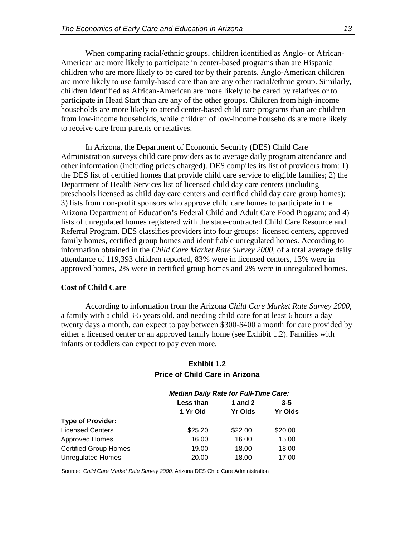When comparing racial/ethnic groups, children identified as Anglo- or African-American are more likely to participate in center-based programs than are Hispanic children who are more likely to be cared for by their parents. Anglo-American children are more likely to use family-based care than are any other racial/ethnic group. Similarly, children identified as African-American are more likely to be cared by relatives or to participate in Head Start than are any of the other groups. Children from high-income households are more likely to attend center-based child care programs than are children from low-income households, while children of low-income households are more likely to receive care from parents or relatives.

In Arizona, the Department of Economic Security (DES) Child Care Administration surveys child care providers as to average daily program attendance and other information (including prices charged). DES compiles its list of providers from: 1) the DES list of certified homes that provide child care service to eligible families; 2) the Department of Health Services list of licensed child day care centers (including preschools licensed as child day care centers and certified child day care group homes); 3) lists from non-profit sponsors who approve child care homes to participate in the Arizona Department of Education's Federal Child and Adult Care Food Program; and 4) lists of unregulated homes registered with the state-contracted Child Care Resource and Referral Program. DES classifies providers into four groups: licensed centers, approved family homes, certified group homes and identifiable unregulated homes. According to information obtained in the *Child Care Market Rate Survey 2000*, of a total average daily attendance of 119,393 children reported, 83% were in licensed centers, 13% were in approved homes, 2% were in certified group homes and 2% were in unregulated homes.

#### **Cost of Child Care**

According to information from the Arizona *Child Care Market Rate Survey 2000*, a family with a child 3-5 years old, and needing child care for at least 6 hours a day twenty days a month, can expect to pay between \$300-\$400 a month for care provided by either a licensed center or an approved family home (see Exhibit 1.2). Families with infants or toddlers can expect to pay even more.

## **Exhibit 1.2 Price of Child Care in Arizona**

|                              | <b>Median Daily Rate for Full-Time Care:</b> |                |         |  |  |
|------------------------------|----------------------------------------------|----------------|---------|--|--|
|                              | Less than                                    | <b>1</b> and 2 | $3 - 5$ |  |  |
|                              | 1 Yr Old                                     | <b>Yr Olds</b> |         |  |  |
| <b>Type of Provider:</b>     |                                              |                |         |  |  |
| <b>Licensed Centers</b>      | \$25.20                                      | \$22.00        | \$20.00 |  |  |
| Approved Homes               | 16.00                                        | 16.00          | 15.00   |  |  |
| <b>Certified Group Homes</b> | 19.00                                        | 18.00          | 18.00   |  |  |
| <b>Unregulated Homes</b>     | 20.00                                        | 18.00          | 17.00   |  |  |

Source: *Child Care Market Rate Survey 2000,* Arizona DES Child Care Administration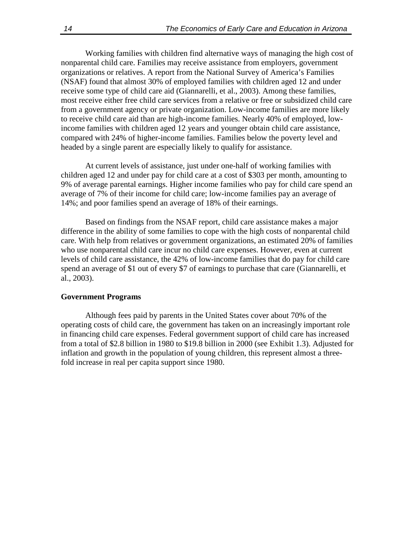Working families with children find alternative ways of managing the high cost of nonparental child care. Families may receive assistance from employers, government organizations or relatives. A report from the National Survey of America's Families (NSAF) found that almost 30% of employed families with children aged 12 and under receive some type of child care aid (Giannarelli, et al., 2003). Among these families, most receive either free child care services from a relative or free or subsidized child care from a government agency or private organization. Low-income families are more likely to receive child care aid than are high-income families. Nearly 40% of employed, lowincome families with children aged 12 years and younger obtain child care assistance, compared with 24% of higher-income families. Families below the poverty level and headed by a single parent are especially likely to qualify for assistance.

At current levels of assistance, just under one-half of working families with children aged 12 and under pay for child care at a cost of \$303 per month, amounting to 9% of average parental earnings. Higher income families who pay for child care spend an average of 7% of their income for child care; low-income families pay an average of 14%; and poor families spend an average of 18% of their earnings.

Based on findings from the NSAF report, child care assistance makes a major difference in the ability of some families to cope with the high costs of nonparental child care. With help from relatives or government organizations, an estimated 20% of families who use nonparental child care incur no child care expenses. However, even at current levels of child care assistance, the 42% of low-income families that do pay for child care spend an average of \$1 out of every \$7 of earnings to purchase that care (Giannarelli, et al., 2003).

#### **Government Programs**

Although fees paid by parents in the United States cover about 70% of the operating costs of child care, the government has taken on an increasingly important role in financing child care expenses. Federal government support of child care has increased from a total of \$2.8 billion in 1980 to \$19.8 billion in 2000 (see Exhibit 1.3). Adjusted for inflation and growth in the population of young children, this represent almost a threefold increase in real per capita support since 1980.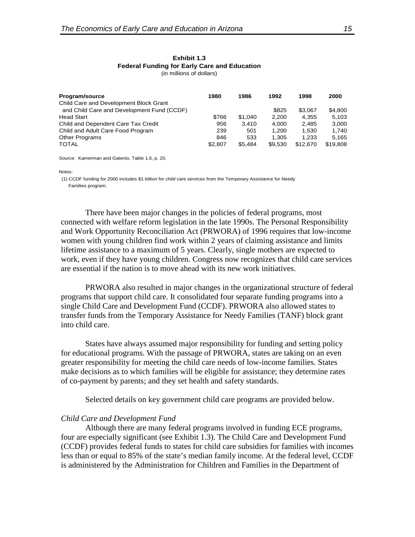| Program/source                             | 1980    | 1986    | 1992    | 1998     | 2000     |
|--------------------------------------------|---------|---------|---------|----------|----------|
| Child Care and Development Block Grant     |         |         |         |          |          |
| and Child Care and Development Fund (CCDF) |         |         | \$825   | \$3.067  | \$4.800  |
| <b>Head Start</b>                          | \$766   | \$1.040 | 2.200   | 4.355    | 5.103    |
| Child and Dependent Care Tax Credit        | 956     | 3.410   | 4.000   | 2.485    | 3.000    |
| Child and Adult Care Food Program          | 239     | 501     | 1.200   | 1.530    | 1.740    |
| <b>Other Programs</b>                      | 846     | 533     | 1.305   | 1.233    | 5.165    |
| <b>TOTAL</b>                               | \$2,807 | \$5.484 | \$9.530 | \$12,670 | \$19,808 |

Source: Kamerman and Gatenio, Table 1.6, p. 20.

Notes:

 (1) CCDF funding for 2000 includes \$1 billion for child care services from the Temporary Assistance for Needy Families program.

There have been major changes in the policies of federal programs, most connected with welfare reform legislation in the late 1990s. The Personal Responsibility and Work Opportunity Reconciliation Act (PRWORA) of 1996 requires that low-income women with young children find work within 2 years of claiming assistance and limits lifetime assistance to a maximum of 5 years. Clearly, single mothers are expected to work, even if they have young children. Congress now recognizes that child care services are essential if the nation is to move ahead with its new work initiatives.

PRWORA also resulted in major changes in the organizational structure of federal programs that support child care. It consolidated four separate funding programs into a single Child Care and Development Fund (CCDF). PRWORA also allowed states to transfer funds from the Temporary Assistance for Needy Families (TANF) block grant into child care.

States have always assumed major responsibility for funding and setting policy for educational programs. With the passage of PRWORA, states are taking on an even greater responsibility for meeting the child care needs of low-income families. States make decisions as to which families will be eligible for assistance; they determine rates of co-payment by parents; and they set health and safety standards.

Selected details on key government child care programs are provided below.

#### *Child Care and Development Fund*

Although there are many federal programs involved in funding ECE programs, four are especially significant (see Exhibit 1.3). The Child Care and Development Fund (CCDF) provides federal funds to states for child care subsidies for families with incomes less than or equal to 85% of the state's median family income. At the federal level, CCDF is administered by the Administration for Children and Families in the Department of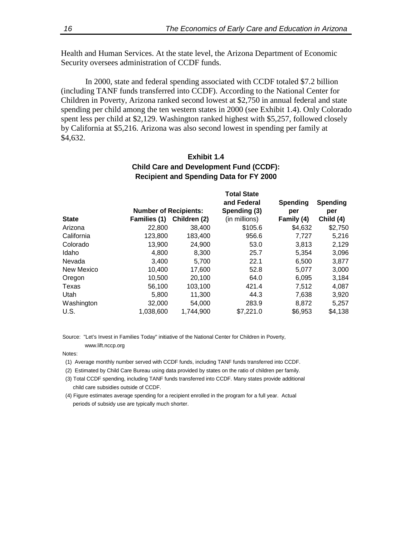Health and Human Services. At the state level, the Arizona Department of Economic Security oversees administration of CCDF funds.

In 2000, state and federal spending associated with CCDF totaled \$7.2 billion (including TANF funds transferred into CCDF). According to the National Center for Children in Poverty, Arizona ranked second lowest at \$2,750 in annual federal and state spending per child among the ten western states in 2000 (see Exhibit 1.4). Only Colorado spent less per child at \$2,129. Washington ranked highest with \$5,257, followed closely by California at \$5,216. Arizona was also second lowest in spending per family at \$4,632.

## **Exhibit 1.4 Child Care and Development Fund (CCDF): Recipient and Spending Data for FY 2000**

|              |                              |              | <b>Total State</b><br>and Federal | Spending   | <b>Spending</b> |
|--------------|------------------------------|--------------|-----------------------------------|------------|-----------------|
|              | <b>Number of Recipients:</b> |              | Spending (3)                      | per        | per             |
| <b>State</b> | Families (1)                 | Children (2) | (in millions)                     | Family (4) | Child (4)       |
| Arizona      | 22,800                       | 38,400       | \$105.6                           | \$4,632    | \$2,750         |
| California   | 123,800                      | 183,400      | 956.6                             | 7,727      | 5,216           |
| Colorado     | 13,900                       | 24.900       | 53.0                              | 3,813      | 2,129           |
| Idaho        | 4,800                        | 8,300        | 25.7                              | 5,354      | 3,096           |
| Nevada       | 3.400                        | 5.700        | 22.1                              | 6.500      | 3,877           |
| New Mexico   | 10,400                       | 17,600       | 52.8                              | 5,077      | 3,000           |
| Oregon       | 10,500                       | 20,100       | 64.0                              | 6,095      | 3,184           |
| Texas        | 56,100                       | 103,100      | 421.4                             | 7,512      | 4,087           |
| Utah         | 5.800                        | 11.300       | 44.3                              | 7,638      | 3,920           |
| Washington   | 32,000                       | 54,000       | 283.9                             | 8,872      | 5,257           |
| U.S.         | 1.038.600                    | 1.744.900    | \$7,221.0                         | \$6,953    | \$4,138         |

Source: "Let's Invest in Families Today" initiative of the National Center for Children in Poverty,

www.lift.nccp.org

Notes:

- (1) Average monthly number served with CCDF funds, including TANF funds transferred into CCDF.
- (2) Estimated by Child Care Bureau using data provided by states on the ratio of children per family.
- (3) Total CCDF spending, including TANF funds transferred into CCDF. Many states provide additional child care subsidies outside of CCDF.
- (4) Figure estimates average spending for a recipient enrolled in the program for a full year. Actual periods of subsidy use are typically much shorter.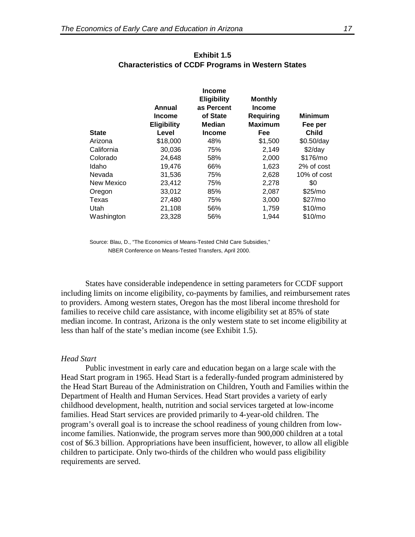|              | Annual<br><b>Income</b><br><b>Eligibility</b> | <b>Income</b><br><b>Eligibility</b><br>as Percent<br>of State<br>Median | <b>Monthly</b><br><b>Income</b><br>Requiring<br><b>Maximum</b> | <b>Minimum</b><br>Fee per |
|--------------|-----------------------------------------------|-------------------------------------------------------------------------|----------------------------------------------------------------|---------------------------|
| <b>State</b> | Level                                         | Income                                                                  | Fee                                                            | <b>Child</b>              |
| Arizona      | \$18,000                                      | 48%                                                                     | \$1,500                                                        | $$0.50$ /day              |
| California   | 30,036                                        | 75%                                                                     | 2,149                                                          | $$2$ /day                 |
| Colorado     | 24,648                                        | 58%                                                                     | 2,000                                                          | \$176/mo                  |
| Idaho        | 19,476                                        | 66%                                                                     | 1,623                                                          | 2% of cost                |
| Nevada       | 31,536                                        | 75%                                                                     | 2,628                                                          | 10% of cost               |
| New Mexico   | 23,412                                        | 75%                                                                     | 2,278                                                          | \$0                       |
| Oregon       | 33,012                                        | 85%                                                                     | 2,087                                                          | \$25/mo                   |
| Texas        | 27,480                                        | 75%                                                                     | 3,000                                                          | \$27/m <sub>o</sub>       |
| Utah         | 21,108                                        | 56%                                                                     | 1,759                                                          | \$10/m <sub>o</sub>       |
| Washington   | 23,328                                        | 56%                                                                     | 1,944                                                          | \$10/m <sub>o</sub>       |

### **Exhibit 1.5 Characteristics of CCDF Programs in Western States**

Source: Blau, D., "The Economics of Means-Tested Child Care Subsidies," NBER Conference on Means-Tested Transfers, April 2000.

States have considerable independence in setting parameters for CCDF support including limits on income eligibility, co-payments by families, and reimbursement rates to providers. Among western states, Oregon has the most liberal income threshold for families to receive child care assistance, with income eligibility set at 85% of state median income. In contrast, Arizona is the only western state to set income eligibility at less than half of the state's median income (see Exhibit 1.5).

#### *Head Start*

Public investment in early care and education began on a large scale with the Head Start program in 1965. Head Start is a federally-funded program administered by the Head Start Bureau of the Administration on Children, Youth and Families within the Department of Health and Human Services. Head Start provides a variety of early childhood development, health, nutrition and social services targeted at low-income families. Head Start services are provided primarily to 4-year-old children. The program's overall goal is to increase the school readiness of young children from lowincome families. Nationwide, the program serves more than 900,000 children at a total cost of \$6.3 billion. Appropriations have been insufficient, however, to allow all eligible children to participate. Only two-thirds of the children who would pass eligibility requirements are served.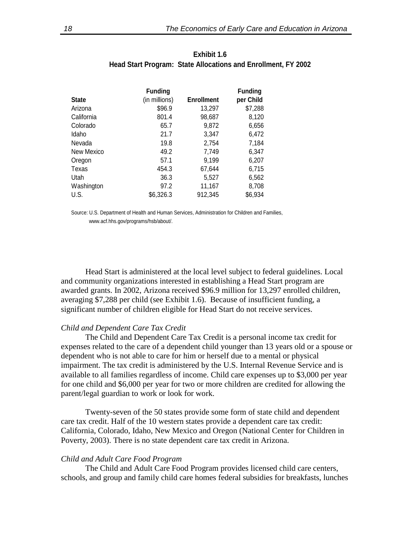| <b>State</b> | <b>Funding</b><br>(in millions) | <b>Enrollment</b> | <b>Funding</b><br>per Child |
|--------------|---------------------------------|-------------------|-----------------------------|
| Arizona      | \$96.9                          | 13,297            | \$7,288                     |
| California   | 801.4                           | 98,687            | 8,120                       |
| Colorado     | 65.7                            | 9,872             | 6,656                       |
| Idaho        | 21.7                            | 3,347             | 6,472                       |
| Nevada       | 19.8                            | 2.754             | 7,184                       |
| New Mexico   | 49.2                            | 7,749             | 6,347                       |
| Oregon       | 57.1                            | 9,199             | 6,207                       |
| Texas        | 454.3                           | 67,644            | 6,715                       |
| Utah         | 36.3                            | 5,527             | 6,562                       |
| Washington   | 97.2                            | 11,167            | 8,708                       |
| U.S.         | \$6,326.3                       | 912,345           | \$6,934                     |

### **Exhibit 1.6 Head Start Program: State Allocations and Enrollment, FY 2002**

Source: U.S. Department of Health and Human Services, Administration for Children and Families, www.acf.hhs.gov/programs/hsb/about/.

Head Start is administered at the local level subject to federal guidelines. Local and community organizations interested in establishing a Head Start program are awarded grants. In 2002, Arizona received \$96.9 million for 13,297 enrolled children, averaging \$7,288 per child (see Exhibit 1.6). Because of insufficient funding, a significant number of children eligible for Head Start do not receive services.

#### *Child and Dependent Care Tax Credit*

The Child and Dependent Care Tax Credit is a personal income tax credit for expenses related to the care of a dependent child younger than 13 years old or a spouse or dependent who is not able to care for him or herself due to a mental or physical impairment. The tax credit is administered by the U.S. Internal Revenue Service and is available to all families regardless of income. Child care expenses up to \$3,000 per year for one child and \$6,000 per year for two or more children are credited for allowing the parent/legal guardian to work or look for work.

Twenty-seven of the 50 states provide some form of state child and dependent care tax credit. Half of the 10 western states provide a dependent care tax credit: California, Colorado, Idaho, New Mexico and Oregon (National Center for Children in Poverty, 2003). There is no state dependent care tax credit in Arizona.

#### *Child and Adult Care Food Program*

The Child and Adult Care Food Program provides licensed child care centers, schools, and group and family child care homes federal subsidies for breakfasts, lunches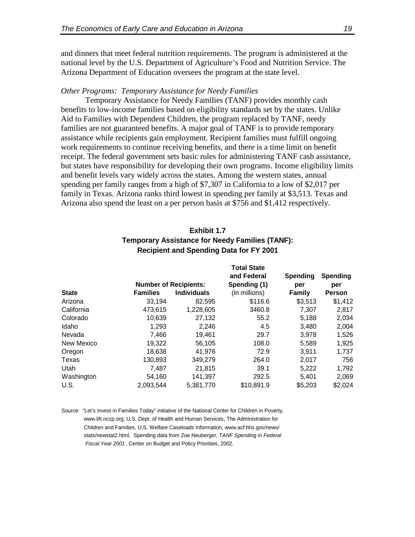and dinners that meet federal nutrition requirements. The program is administered at the national level by the U.S. Department of Agriculture's Food and Nutrition Service. The Arizona Department of Education oversees the program at the state level.

#### *Other Programs: Temporary Assistance for Needy Families*

Temporary Assistance for Needy Families (TANF) provides monthly cash benefits to low-income families based on eligibility standards set by the states. Unlike Aid to Families with Dependent Children, the program replaced by TANF, needy families are not guaranteed benefits. A major goal of TANF is to provide temporary assistance while recipients gain employment. Recipient families must fulfill ongoing work requirements to continue receiving benefits, and there is a time limit on benefit receipt. The federal government sets basic rules for administering TANF cash assistance, but states have responsibility for developing their own programs. Income eligibility limits and benefit levels vary widely across the states. Among the western states, annual spending per family ranges from a high of \$7,307 in California to a low of \$2,017 per family in Texas. Arizona ranks third lowest in spending per family at \$3,513. Texas and Arizona also spend the least on a per person basis at \$756 and \$1,412 respectively.

| Exhibit 1.7                                            |  |
|--------------------------------------------------------|--|
| <b>Temporary Assistance for Needy Families (TANF):</b> |  |
| <b>Recipient and Spending Data for FY 2001</b>         |  |

|              |                 | <b>Number of Recipients:</b> | <b>Total State</b><br>and Federal<br>Spending (1) | <b>Spending</b><br>per | <b>Spending</b><br>per |
|--------------|-----------------|------------------------------|---------------------------------------------------|------------------------|------------------------|
| <b>State</b> | <b>Families</b> | <b>Individuals</b>           | (in millions)                                     | <b>Family</b>          | <b>Person</b>          |
| Arizona      | 33,194          | 82,595                       | \$116.6                                           | \$3,513                | \$1,412                |
| California   | 473.615         | 1,228,605                    | 3460.8                                            | 7,307                  | 2,817                  |
| Colorado     | 10,639          | 27,132                       | 55.2                                              | 5,188                  | 2,034                  |
| Idaho        | 1,293           | 2,246                        | 4.5                                               | 3,480                  | 2,004                  |
| Nevada       | 7,466           | 19,461                       | 29.7                                              | 3,978                  | 1,526                  |
| New Mexico   | 19,322          | 56,105                       | 108.0                                             | 5,589                  | 1,925                  |
| Oregon       | 18,638          | 41.976                       | 72.9                                              | 3.911                  | 1,737                  |
| Texas        | 130,893         | 349,279                      | 264.0                                             | 2,017                  | 756                    |
| Utah         | 7.487           | 21,815                       | 39.1                                              | 5.222                  | 1,792                  |
| Washington   | 54,160          | 141,397                      | 292.5                                             | 5,401                  | 2,069                  |
| U.S.         | 2,093,544       | 5,381,770                    | \$10,891.9                                        | \$5,203                | \$2,024                |

Source: "Let's Invest in Families Today" initiative of the National Center for Children in Poverty, www.lift.nccp.org; U.S. Dept. of Health and Human Services, The Administration for Children and Families, U.S. Welfare Caseloads Information, www.acf.hhs.gov/news/ stats/newstat2.html. Spending data from Zoe Neuberger, *TANF Spending in Federal Fiscal Year 2001* , Center on Budget and Policy Priorities, 2002.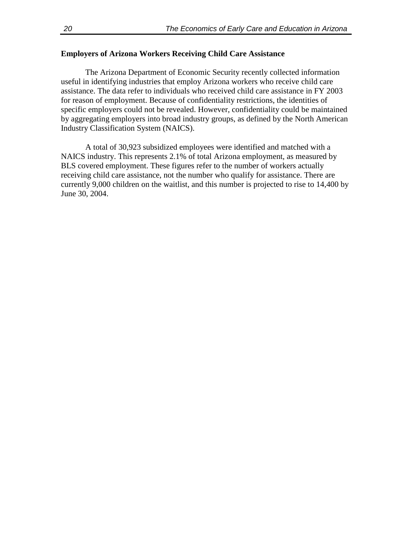## **Employers of Arizona Workers Receiving Child Care Assistance**

The Arizona Department of Economic Security recently collected information useful in identifying industries that employ Arizona workers who receive child care assistance. The data refer to individuals who received child care assistance in FY 2003 for reason of employment. Because of confidentiality restrictions, the identities of specific employers could not be revealed. However, confidentiality could be maintained by aggregating employers into broad industry groups, as defined by the North American Industry Classification System (NAICS).

A total of 30,923 subsidized employees were identified and matched with a NAICS industry. This represents 2.1% of total Arizona employment, as measured by BLS covered employment. These figures refer to the number of workers actually receiving child care assistance, not the number who qualify for assistance. There are currently 9,000 children on the waitlist, and this number is projected to rise to 14,400 by June 30, 2004.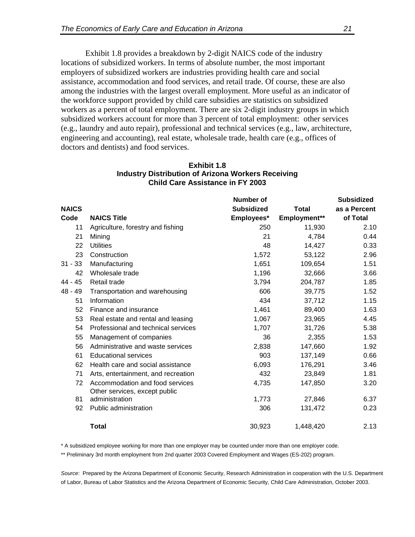Exhibit 1.8 provides a breakdown by 2-digit NAICS code of the industry locations of subsidized workers. In terms of absolute number, the most important employers of subsidized workers are industries providing health care and social assistance, accommodation and food services, and retail trade. Of course, these are also among the industries with the largest overall employment. More useful as an indicator of the workforce support provided by child care subsidies are statistics on subsidized workers as a percent of total employment. There are six 2-digit industry groups in which subsidized workers account for more than 3 percent of total employment: other services (e.g., laundry and auto repair), professional and technical services (e.g., law, architecture, engineering and accounting), real estate, wholesale trade, health care (e.g., offices of doctors and dentists) and food services.

|              | $\sim$ arc $\sim$ $\sim$ $\sim$ $\sim$ $\sim$ $\sim$ | <b>Number of</b>  |              | <b>Subsidized</b> |
|--------------|------------------------------------------------------|-------------------|--------------|-------------------|
| <b>NAICS</b> |                                                      | <b>Subsidized</b> | <b>Total</b> | as a Percent      |
| Code         | <b>NAICS Title</b>                                   | Employees*        | Employment** | of Total          |
| 11           | Agriculture, forestry and fishing                    | 250               | 11,930       | 2.10              |
| 21           | Mining                                               | 21                | 4,784        | 0.44              |
| 22           | <b>Utilities</b>                                     | 48                | 14,427       | 0.33              |
| 23           | Construction                                         | 1,572             | 53,122       | 2.96              |
| 31 - 33      | Manufacturing                                        | 1,651             | 109,654      | 1.51              |
| 42           | Wholesale trade                                      | 1,196             | 32,666       |                   |
| 44 - 45      |                                                      |                   |              | 3.66              |
|              | Retail trade                                         | 3,794             | 204,787      | 1.85              |
| 48 - 49      | Transportation and warehousing                       | 606               | 39,775       | 1.52              |
| 51           | Information                                          | 434               | 37,712       | 1.15              |
| 52           | Finance and insurance                                | 1,461             | 89,400       | 1.63              |
| 53           | Real estate and rental and leasing                   | 1,067             | 23,965       | 4.45              |
| 54           | Professional and technical services                  | 1,707             | 31,726       | 5.38              |
| 55           | Management of companies                              | 36                | 2,355        | 1.53              |
| 56           | Administrative and waste services                    | 2,838             | 147,660      | 1.92              |
| 61           | <b>Educational services</b>                          | 903               | 137,149      | 0.66              |
| 62           | Health care and social assistance                    | 6,093             | 176,291      | 3.46              |
| 71           | Arts, entertainment, and recreation                  | 432               | 23,849       | 1.81              |
| 72           | Accommodation and food services                      | 4,735             | 147,850      | 3.20              |
|              | Other services, except public                        |                   |              |                   |
| 81           | administration                                       | 1,773             | 27,846       | 6.37              |
| 92           | Public administration                                | 306               | 131,472      | 0.23              |
|              | <b>Total</b>                                         | 30,923            | 1,448,420    | 2.13              |

### **Exhibit 1.8 Industry Distribution of Arizona Workers Receiving Child Care Assistance in FY 2003**

\* A subsidized employee working for more than one employer may be counted under more than one employer code.

\*\* Preliminary 3rd month employment from 2nd quarter 2003 Covered Employment and Wages (ES-202) program.

*Source*: Prepared by the Arizona Department of Economic Security, Research Administration in cooperation with the U.S. Department of Labor, Bureau of Labor Statistics and the Arizona Department of Economic Security, Child Care Administration, October 2003.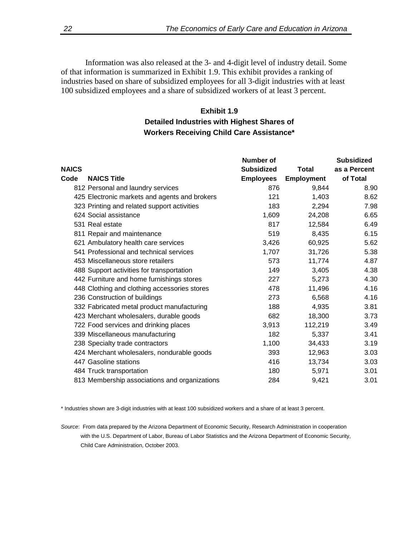Information was also released at the 3- and 4-digit level of industry detail. Some of that information is summarized in Exhibit 1.9. This exhibit provides a ranking of industries based on share of subsidized employees for all 3-digit industries with at least 100 subsidized employees and a share of subsidized workers of at least 3 percent.

## **Exhibit 1.9 Detailed Industries with Highest Shares of Workers Receiving Child Care Assistance\***

| <b>NAICS</b> |                                               | Number of<br><b>Subsidized</b> | Total             | <b>Subsidized</b><br>as a Percent |
|--------------|-----------------------------------------------|--------------------------------|-------------------|-----------------------------------|
| Code         | <b>NAICS Title</b>                            | <b>Employees</b>               | <b>Employment</b> | of Total                          |
|              | 812 Personal and laundry services             | 876                            | 9,844             | 8.90                              |
|              | 425 Electronic markets and agents and brokers | 121                            | 1,403             | 8.62                              |
|              | 323 Printing and related support activities   | 183                            | 2,294             | 7.98                              |
|              | 624 Social assistance                         | 1,609                          | 24,208            | 6.65                              |
|              | 531 Real estate                               | 817                            | 12,584            | 6.49                              |
|              | 811 Repair and maintenance                    | 519                            | 8,435             | 6.15                              |
|              | 621 Ambulatory health care services           | 3,426                          | 60,925            | 5.62                              |
|              | 541 Professional and technical services       | 1,707                          | 31,726            | 5.38                              |
|              | 453 Miscellaneous store retailers             | 573                            | 11,774            | 4.87                              |
|              | 488 Support activities for transportation     | 149                            | 3,405             | 4.38                              |
|              | 442 Furniture and home furnishings stores     | 227                            | 5,273             | 4.30                              |
|              | 448 Clothing and clothing accessories stores  | 478                            | 11,496            | 4.16                              |
|              | 236 Construction of buildings                 | 273                            | 6,568             | 4.16                              |
|              | 332 Fabricated metal product manufacturing    | 188                            | 4,935             | 3.81                              |
|              | 423 Merchant wholesalers, durable goods       | 682                            | 18,300            | 3.73                              |
|              | 722 Food services and drinking places         | 3,913                          | 112,219           | 3.49                              |
|              | 339 Miscellaneous manufacturing               | 182                            | 5,337             | 3.41                              |
|              | 238 Specialty trade contractors               | 1,100                          | 34,433            | 3.19                              |
|              | 424 Merchant wholesalers, nondurable goods    | 393                            | 12,963            | 3.03                              |
|              | 447 Gasoline stations                         | 416                            | 13,734            | 3.03                              |
|              | 484 Truck transportation                      | 180                            | 5,971             | 3.01                              |
|              | 813 Membership associations and organizations | 284                            | 9,421             | 3.01                              |

\* Industries shown are 3-digit industries with at least 100 subsidized workers and a share of at least 3 percent.

*Source*: From data prepared by the Arizona Department of Economic Security, Research Administration in cooperation with the U.S. Department of Labor, Bureau of Labor Statistics and the Arizona Department of Economic Security, Child Care Administration, October 2003.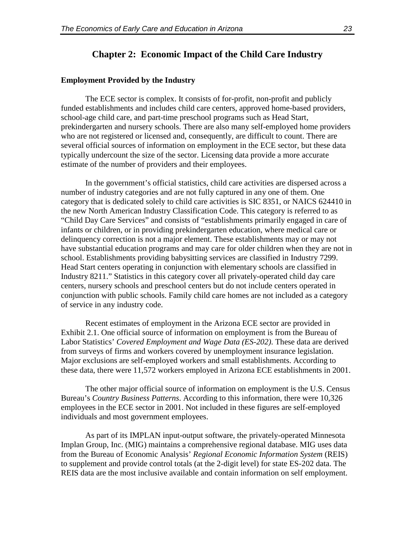### **Chapter 2: Economic Impact of the Child Care Industry**

#### **Employment Provided by the Industry**

The ECE sector is complex. It consists of for-profit, non-profit and publicly funded establishments and includes child care centers, approved home-based providers, school-age child care, and part-time preschool programs such as Head Start, prekindergarten and nursery schools. There are also many self-employed home providers who are not registered or licensed and, consequently, are difficult to count. There are several official sources of information on employment in the ECE sector, but these data typically undercount the size of the sector. Licensing data provide a more accurate estimate of the number of providers and their employees.

In the government's official statistics, child care activities are dispersed across a number of industry categories and are not fully captured in any one of them. One category that is dedicated solely to child care activities is SIC 8351, or NAICS 624410 in the new North American Industry Classification Code. This category is referred to as "Child Day Care Services" and consists of "establishments primarily engaged in care of infants or children, or in providing prekindergarten education, where medical care or delinquency correction is not a major element. These establishments may or may not have substantial education programs and may care for older children when they are not in school. Establishments providing babysitting services are classified in Industry 7299. Head Start centers operating in conjunction with elementary schools are classified in Industry 8211." Statistics in this category cover all privately-operated child day care centers, nursery schools and preschool centers but do not include centers operated in conjunction with public schools. Family child care homes are not included as a category of service in any industry code.

Recent estimates of employment in the Arizona ECE sector are provided in Exhibit 2.1. One official source of information on employment is from the Bureau of Labor Statistics' *Covered Employment and Wage Data (ES-202)*. These data are derived from surveys of firms and workers covered by unemployment insurance legislation. Major exclusions are self-employed workers and small establishments. According to these data, there were 11,572 workers employed in Arizona ECE establishments in 2001.

The other major official source of information on employment is the U.S. Census Bureau's *Country Business Patterns*. According to this information, there were 10,326 employees in the ECE sector in 2001. Not included in these figures are self-employed individuals and most government employees.

As part of its IMPLAN input-output software, the privately-operated Minnesota Implan Group, Inc. (MIG) maintains a comprehensive regional database. MIG uses data from the Bureau of Economic Analysis' *Regional Economic Information System* (REIS) to supplement and provide control totals (at the 2-digit level) for state ES-202 data. The REIS data are the most inclusive available and contain information on self employment.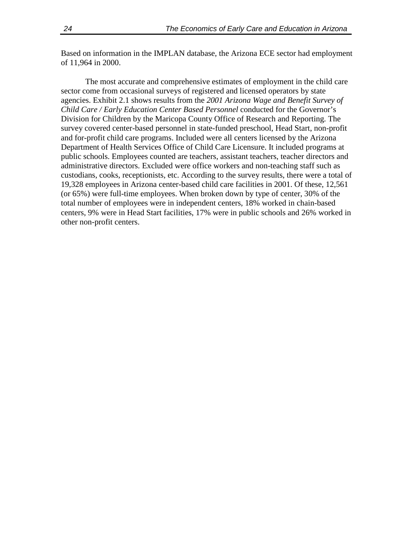Based on information in the IMPLAN database, the Arizona ECE sector had employment of 11,964 in 2000.

The most accurate and comprehensive estimates of employment in the child care sector come from occasional surveys of registered and licensed operators by state agencies. Exhibit 2.1 shows results from the *2001 Arizona Wage and Benefit Survey of Child Care / Early Education Center Based Personnel* conducted for the Governor's Division for Children by the Maricopa County Office of Research and Reporting. The survey covered center-based personnel in state-funded preschool, Head Start, non-profit and for-profit child care programs. Included were all centers licensed by the Arizona Department of Health Services Office of Child Care Licensure. It included programs at public schools. Employees counted are teachers, assistant teachers, teacher directors and administrative directors. Excluded were office workers and non-teaching staff such as custodians, cooks, receptionists, etc. According to the survey results, there were a total of 19,328 employees in Arizona center-based child care facilities in 2001. Of these, 12,561 (or 65%) were full-time employees. When broken down by type of center, 30% of the total number of employees were in independent centers, 18% worked in chain-based centers, 9% were in Head Start facilities, 17% were in public schools and 26% worked in other non-profit centers.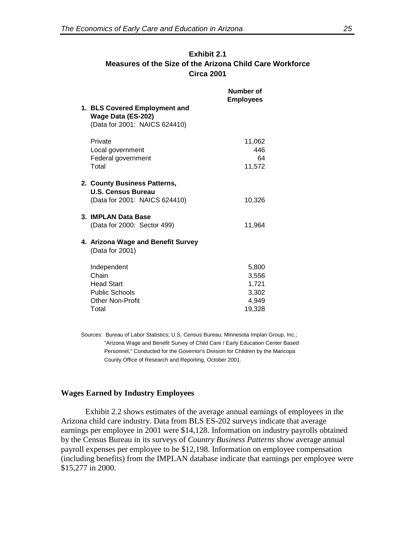| <b>Exhibit 2.1</b>                                       |  |  |  |
|----------------------------------------------------------|--|--|--|
| Measures of the Size of the Arizona Child Care Workforce |  |  |  |
| <b>Circa 2001</b>                                        |  |  |  |

| 1. BLS Covered Employment and<br>Wage Data (ES-202)<br>(Data for 2001: NAICS 624410)                   | Number of<br><b>Employees</b>                       |
|--------------------------------------------------------------------------------------------------------|-----------------------------------------------------|
| Private<br>Local government<br>Federal government<br>Total                                             | 11,062<br>446<br>64<br>11,572                       |
| 2. County Business Patterns,<br>U.S. Census Bureau<br>(Data for 2001: NAICS 624410)                    | 10,326                                              |
| 3. IMPLAN Data Base<br>(Data for 2000: Sector 499)                                                     | 11,964                                              |
| 4. Arizona Wage and Benefit Survey<br>(Data for 2001)                                                  |                                                     |
| Independent<br>Chain<br><b>Head Start</b><br><b>Public Schools</b><br><b>Other Non-Profit</b><br>Total | 5,800<br>3,556<br>1,721<br>3,302<br>4,949<br>19,328 |

Sources: Bureau of Labor Statistics; U.S. Census Bureau; Minnesota Implan Group, Inc.; "Arizona Wage and Benefit Survey of Child Care / Early Education Center Based Personnel," Conducted for the Governor's Division for Children by the Maricopa County Office of Research and Reporting, October 2001.

#### **Wages Earned by Industry Employees**

Exhibit 2.2 shows estimates of the average annual earnings of employees in the Arizona child care industry. Data from BLS ES-202 surveys indicate that average earnings per employee in 2001 were \$14,128. Information on industry payrolls obtained by the Census Bureau in its surveys of *Country Business Patterns* show average annual payroll expenses per employee to be \$12,198. Information on employee compensation (including benefits) from the IMPLAN database indicate that earnings per employee were \$15,277 in 2000.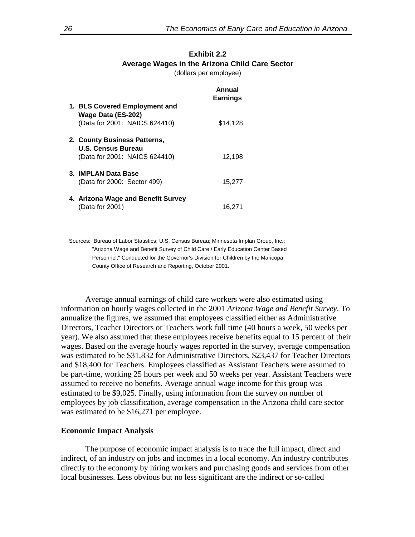## **Exhibit 2.2 Average Wages in the Arizona Child Care Sector**

(dollars per employee)

|                                                                                            | Annual<br><b>Earnings</b> |
|--------------------------------------------------------------------------------------------|---------------------------|
| 1. BLS Covered Employment and<br>Wage Data (ES-202)<br>(Data for 2001: NAICS 624410)       | \$14,128                  |
| 2. County Business Patterns,<br><b>U.S. Census Bureau</b><br>(Data for 2001: NAICS 624410) | 12,198                    |
| 3. IMPLAN Data Base<br>(Data for 2000: Sector 499)                                         | 15.277                    |
| 4. Arizona Wage and Benefit Survey<br>(Data for 2001)                                      | 16,271                    |

Sources: Bureau of Labor Statistics; U.S. Census Bureau; Minnesota Implan Group, Inc.; "Arizona Wage and Benefit Survey of Child Care / Early Education Center Based Personnel," Conducted for the Governor's Division for Children by the Maricopa County Office of Research and Reporting, October 2001.

Average annual earnings of child care workers were also estimated using information on hourly wages collected in the 2001 *Arizona Wage and Benefit Survey*. To annualize the figures, we assumed that employees classified either as Administrative Directors, Teacher Directors or Teachers work full time (40 hours a week, 50 weeks per year). We also assumed that these employees receive benefits equal to 15 percent of their wages. Based on the average hourly wages reported in the survey, average compensation was estimated to be \$31,832 for Administrative Directors, \$23,437 for Teacher Directors and \$18,400 for Teachers. Employees classified as Assistant Teachers were assumed to be part-time, working 25 hours per week and 50 weeks per year. Assistant Teachers were assumed to receive no benefits. Average annual wage income for this group was estimated to be \$9,025. Finally, using information from the survey on number of employees by job classification, average compensation in the Arizona child care sector was estimated to be \$16,271 per employee.

#### **Economic Impact Analysis**

The purpose of economic impact analysis is to trace the full impact, direct and indirect, of an industry on jobs and incomes in a local economy. An industry contributes directly to the economy by hiring workers and purchasing goods and services from other local businesses. Less obvious but no less significant are the indirect or so-called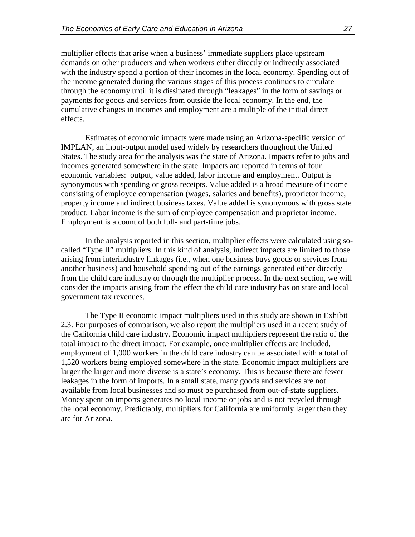multiplier effects that arise when a business' immediate suppliers place upstream demands on other producers and when workers either directly or indirectly associated with the industry spend a portion of their incomes in the local economy. Spending out of the income generated during the various stages of this process continues to circulate through the economy until it is dissipated through "leakages" in the form of savings or payments for goods and services from outside the local economy. In the end, the cumulative changes in incomes and employment are a multiple of the initial direct effects.

Estimates of economic impacts were made using an Arizona-specific version of IMPLAN, an input-output model used widely by researchers throughout the United States. The study area for the analysis was the state of Arizona. Impacts refer to jobs and incomes generated somewhere in the state. Impacts are reported in terms of four economic variables: output, value added, labor income and employment. Output is synonymous with spending or gross receipts. Value added is a broad measure of income consisting of employee compensation (wages, salaries and benefits), proprietor income, property income and indirect business taxes. Value added is synonymous with gross state product. Labor income is the sum of employee compensation and proprietor income. Employment is a count of both full- and part-time jobs.

In the analysis reported in this section, multiplier effects were calculated using socalled "Type II" multipliers. In this kind of analysis, indirect impacts are limited to those arising from interindustry linkages (i.e., when one business buys goods or services from another business) and household spending out of the earnings generated either directly from the child care industry or through the multiplier process. In the next section, we will consider the impacts arising from the effect the child care industry has on state and local government tax revenues.

The Type II economic impact multipliers used in this study are shown in Exhibit 2.3. For purposes of comparison, we also report the multipliers used in a recent study of the California child care industry. Economic impact multipliers represent the ratio of the total impact to the direct impact. For example, once multiplier effects are included, employment of 1,000 workers in the child care industry can be associated with a total of 1,520 workers being employed somewhere in the state. Economic impact multipliers are larger the larger and more diverse is a state's economy. This is because there are fewer leakages in the form of imports. In a small state, many goods and services are not available from local businesses and so must be purchased from out-of-state suppliers. Money spent on imports generates no local income or jobs and is not recycled through the local economy. Predictably, multipliers for California are uniformly larger than they are for Arizona.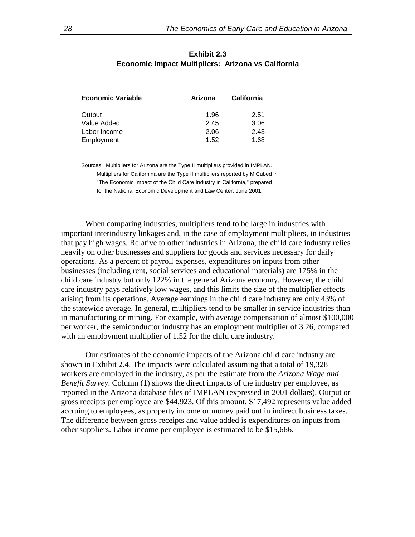| Exhibit 2.3                                        |  |  |  |
|----------------------------------------------------|--|--|--|
| Economic Impact Multipliers: Arizona vs California |  |  |  |

| <b>Economic Variable</b> | Arizona | <b>California</b> |
|--------------------------|---------|-------------------|
| Output                   | 1.96    | 2.51              |
| Value Added              | 2.45    | 3.06              |
| Labor Income             | 2.06    | 2.43              |
| Employment               | 1.52    | 1.68              |

Sources: Multipliers for Arizona are the Type II multipliers provided in IMPLAN. Multipliers for Californina are the Type II multipliers reported by M Cubed in "The Economic Impact of the Child Care Industry in California," prepared for the National Economic Development and Law Center, June 2001.

When comparing industries, multipliers tend to be large in industries with important interindustry linkages and, in the case of employment multipliers, in industries that pay high wages. Relative to other industries in Arizona, the child care industry relies heavily on other businesses and suppliers for goods and services necessary for daily operations. As a percent of payroll expenses, expenditures on inputs from other businesses (including rent, social services and educational materials) are 175% in the child care industry but only 122% in the general Arizona economy. However, the child care industry pays relatively low wages, and this limits the size of the multiplier effects arising from its operations. Average earnings in the child care industry are only 43% of the statewide average. In general, multipliers tend to be smaller in service industries than in manufacturing or mining. For example, with average compensation of almost \$100,000 per worker, the semiconductor industry has an employment multiplier of 3.26, compared with an employment multiplier of 1.52 for the child care industry.

Our estimates of the economic impacts of the Arizona child care industry are shown in Exhibit 2.4. The impacts were calculated assuming that a total of 19,328 workers are employed in the industry, as per the estimate from the *Arizona Wage and Benefit Survey*. Column (1) shows the direct impacts of the industry per employee, as reported in the Arizona database files of IMPLAN (expressed in 2001 dollars). Output or gross receipts per employee are \$44,923. Of this amount, \$17,492 represents value added accruing to employees, as property income or money paid out in indirect business taxes. The difference between gross receipts and value added is expenditures on inputs from other suppliers. Labor income per employee is estimated to be \$15,666.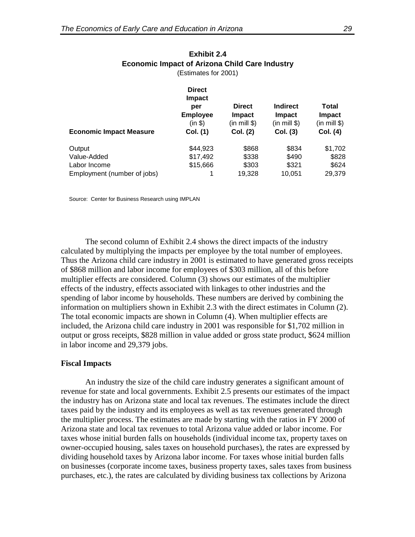|                                | <b>Direct</b><br><b>Impact</b><br>per<br><b>Employee</b><br>(in \$) | <b>Direct</b><br>Impact<br>(in mill \$) | <b>Indirect</b><br><b>Impact</b><br>(in mill \$) | <b>Total</b><br><b>Impact</b><br>(in mill \$) |
|--------------------------------|---------------------------------------------------------------------|-----------------------------------------|--------------------------------------------------|-----------------------------------------------|
| <b>Economic Impact Measure</b> | Col. (1)                                                            | Col. (2)                                | Col. (3)                                         | Col. (4)                                      |
| Output                         | \$44,923                                                            | \$868                                   | \$834                                            | \$1,702                                       |
| Value-Added                    | \$17,492                                                            | \$338                                   | \$490                                            | \$828                                         |
| Labor Income                   | \$15,666                                                            | \$303                                   | \$321                                            | \$624                                         |
| Employment (number of jobs)    |                                                                     | 19.328                                  | 10.051                                           | 29,379                                        |

#### **Exhibit 2.4 Economic Impact of Arizona Child Care Industry** (Estimates for 2001)

Source: Center for Business Research using IMPLAN

The second column of Exhibit 2.4 shows the direct impacts of the industry calculated by multiplying the impacts per employee by the total number of employees. Thus the Arizona child care industry in 2001 is estimated to have generated gross receipts of \$868 million and labor income for employees of \$303 million, all of this before multiplier effects are considered. Column (3) shows our estimates of the multiplier effects of the industry, effects associated with linkages to other industries and the spending of labor income by households. These numbers are derived by combining the information on multipliers shown in Exhibit 2.3 with the direct estimates in Column (2). The total economic impacts are shown in Column (4). When multiplier effects are included, the Arizona child care industry in 2001 was responsible for \$1,702 million in output or gross receipts, \$828 million in value added or gross state product, \$624 million in labor income and 29,379 jobs.

#### **Fiscal Impacts**

An industry the size of the child care industry generates a significant amount of revenue for state and local governments. Exhibit 2.5 presents our estimates of the impact the industry has on Arizona state and local tax revenues. The estimates include the direct taxes paid by the industry and its employees as well as tax revenues generated through the multiplier process. The estimates are made by starting with the ratios in FY 2000 of Arizona state and local tax revenues to total Arizona value added or labor income. For taxes whose initial burden falls on households (individual income tax, property taxes on owner-occupied housing, sales taxes on household purchases), the rates are expressed by dividing household taxes by Arizona labor income. For taxes whose initial burden falls on businesses (corporate income taxes, business property taxes, sales taxes from business purchases, etc.), the rates are calculated by dividing business tax collections by Arizona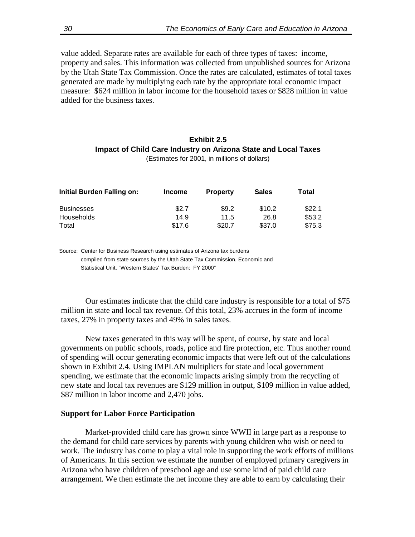value added. Separate rates are available for each of three types of taxes: income, property and sales. This information was collected from unpublished sources for Arizona by the Utah State Tax Commission. Once the rates are calculated, estimates of total taxes generated are made by multiplying each rate by the appropriate total economic impact measure: \$624 million in labor income for the household taxes or \$828 million in value added for the business taxes.

#### **Exhibit 2.5 Impact of Child Care Industry on Arizona State and Local Taxes** (Estimates for 2001, in millions of dollars)

| Initial Burden Falling on: | <b>Income</b> | <b>Property</b> | <b>Sales</b> | Total  |
|----------------------------|---------------|-----------------|--------------|--------|
| <b>Businesses</b>          | \$2.7         | \$9.2           | \$10.2       | \$22.1 |
| Households                 | 14.9          | 11.5            | 26.8         | \$53.2 |
| Total                      | \$17.6        | \$20.7          | \$37.0       | \$75.3 |

Source: Center for Business Research using estimates of Arizona tax burdens compiled from state sources by the Utah State Tax Commission, Economic and Statistical Unit, "Western States' Tax Burden: FY 2000"

Our estimates indicate that the child care industry is responsible for a total of \$75 million in state and local tax revenue. Of this total, 23% accrues in the form of income taxes, 27% in property taxes and 49% in sales taxes.

New taxes generated in this way will be spent, of course, by state and local governments on public schools, roads, police and fire protection, etc. Thus another round of spending will occur generating economic impacts that were left out of the calculations shown in Exhibit 2.4. Using IMPLAN multipliers for state and local government spending, we estimate that the economic impacts arising simply from the recycling of new state and local tax revenues are \$129 million in output, \$109 million in value added, \$87 million in labor income and 2,470 jobs.

### **Support for Labor Force Participation**

Market-provided child care has grown since WWII in large part as a response to the demand for child care services by parents with young children who wish or need to work. The industry has come to play a vital role in supporting the work efforts of millions of Americans. In this section we estimate the number of employed primary caregivers in Arizona who have children of preschool age and use some kind of paid child care arrangement. We then estimate the net income they are able to earn by calculating their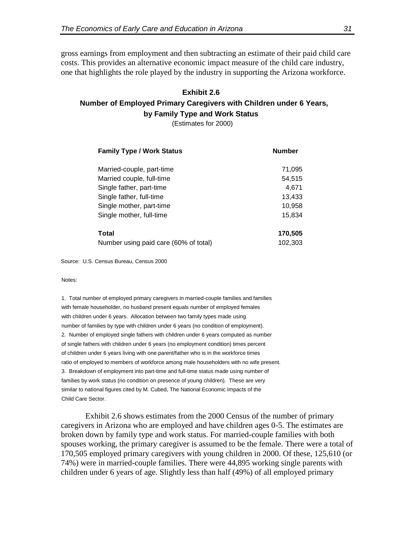gross earnings from employment and then subtracting an estimate of their paid child care costs. This provides an alternative economic impact measure of the child care industry, one that highlights the role played by the industry in supporting the Arizona workforce.

## **Exhibit 2.6 Number of Employed Primary Caregivers with Children under 6 Years, by Family Type and Work Status**

(Estimates for 2000)

| <b>Family Type / Work Status</b>      | <b>Number</b> |  |
|---------------------------------------|---------------|--|
| Married-couple, part-time             | 71,095        |  |
| Married couple, full-time             | 54,515        |  |
| Single father, part-time              | 4,671         |  |
| Single father, full-time              | 13,433        |  |
| Single mother, part-time              | 10,958        |  |
| Single mother, full-time              | 15,834        |  |
| <b>Total</b>                          | 170,505       |  |
| Number using paid care (60% of total) | 102,303       |  |

Source: U.S. Census Bureau, Census 2000

Notes:

1. Total number of employed primary caregivers in married-couple families and families with female householder, no husband present equals number of employed females with children under 6 years. Allocation between two family types made using number of families by type with children under 6 years (no condition of employment). 2. Number of employed single fathers with children under 6 years computed as number of single fathers with children under 6 years (no employment condition) times percent of children under 6 years living with one parent/father who is in the workforce times ratio of employed to members of workforce among male householders with no wife present. 3. Breakdown of employment into part-time and full-time status made using number of families by work status (no condition on presence of young children). These are very similar to national figures cited by M. Cubed, The National Economic Impacts of the Child Care Sector.

Exhibit 2.6 shows estimates from the 2000 Census of the number of primary caregivers in Arizona who are employed and have children ages 0-5. The estimates are broken down by family type and work status. For married-couple families with both spouses working, the primary caregiver is assumed to be the female. There were a total of 170,505 employed primary caregivers with young children in 2000. Of these, 125,610 (or 74%) were in married-couple families. There were 44,895 working single parents with children under 6 years of age. Slightly less than half (49%) of all employed primary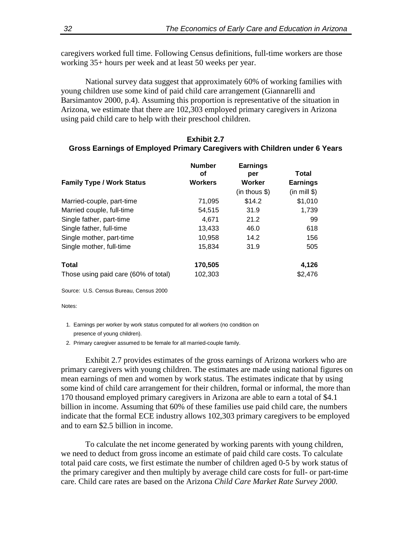caregivers worked full time. Following Census definitions, full-time workers are those working 35+ hours per week and at least 50 weeks per year.

National survey data suggest that approximately 60% of working families with young children use some kind of paid child care arrangement (Giannarelli and Barsimantov 2000, p.4). Assuming this proportion is representative of the situation in Arizona, we estimate that there are 102,303 employed primary caregivers in Arizona using paid child care to help with their preschool children.

#### **Exhibit 2.7**

## **Gross Earnings of Employed Primary Caregivers with Children under 6 Years**

|                                      | <b>Number</b><br>οf | <b>Earnings</b><br>per | Total           |
|--------------------------------------|---------------------|------------------------|-----------------|
| <b>Family Type / Work Status</b>     | <b>Workers</b>      | Worker                 | <b>Earnings</b> |
|                                      |                     | $(in$ thous $$)$       | (in mill \$)    |
| Married-couple, part-time            | 71,095              | \$14.2                 | \$1,010         |
| Married couple, full-time            | 54,515              | 31.9                   | 1,739           |
| Single father, part-time             | 4,671               | 21.2                   | 99              |
| Single father, full-time             | 13,433              | 46.0                   | 618             |
| Single mother, part-time             | 10,958              | 14.2                   | 156             |
| Single mother, full-time             | 15,834              | 31.9                   | 505             |
| <b>Total</b>                         | 170,505             |                        | 4,126           |
| Those using paid care (60% of total) | 102,303             |                        | \$2,476         |

Source: U.S. Census Bureau, Census 2000

Notes:

- 1. Earnings per worker by work status computed for all workers (no condition on presence of young children).
- 2. Primary caregiver assumed to be female for all married-couple family.

Exhibit 2.7 provides estimates of the gross earnings of Arizona workers who are primary caregivers with young children. The estimates are made using national figures on mean earnings of men and women by work status. The estimates indicate that by using some kind of child care arrangement for their children, formal or informal, the more than 170 thousand employed primary caregivers in Arizona are able to earn a total of \$4.1 billion in income. Assuming that 60% of these families use paid child care, the numbers indicate that the formal ECE industry allows 102,303 primary caregivers to be employed and to earn \$2.5 billion in income.

To calculate the net income generated by working parents with young children, we need to deduct from gross income an estimate of paid child care costs. To calculate total paid care costs, we first estimate the number of children aged 0-5 by work status of the primary caregiver and then multiply by average child care costs for full- or part-time care. Child care rates are based on the Arizona *Child Care Market Rate Survey 2000*.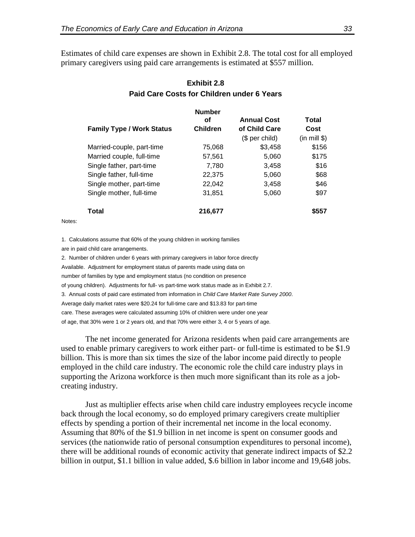Estimates of child care expenses are shown in Exhibit 2.8. The total cost for all employed primary caregivers using paid care arrangements is estimated at \$557 million.

| <b>Family Type / Work Status</b> | <b>Number</b><br>οf<br><b>Children</b> | <b>Annual Cost</b><br>of Child Care<br>$$$ per child) | Total<br>Cost<br>(in mill \$) |
|----------------------------------|----------------------------------------|-------------------------------------------------------|-------------------------------|
| Married-couple, part-time        | 75.068                                 | \$3,458                                               | \$156                         |
| Married couple, full-time        | 57,561                                 | 5,060                                                 | \$175                         |
| Single father, part-time         | 7,780                                  | 3,458                                                 | \$16                          |
| Single father, full-time         | 22,375                                 | 5,060                                                 | \$68                          |
| Single mother, part-time         | 22,042                                 | 3,458                                                 | \$46                          |
| Single mother, full-time         | 31,851                                 | 5,060                                                 | \$97                          |
| Total                            | 216,677                                |                                                       | \$557                         |

## **Exhibit 2.8 Paid Care Costs for Children under 6 Years**

Notes:

1. Calculations assume that 60% of the young children in working families are in paid child care arrangements.

2. Number of children under 6 years with primary caregivers in labor force directly Available. Adjustment for employment status of parents made using data on number of families by type and employment status (no condition on presence of young children). Adjustments for full- vs part-time work status made as in Exhibit 2.7. 3. Annual costs of paid care estimated from information in *Child Care Market Rate Survey 2000*. Average daily market rates were \$20.24 for full-time care and \$13.83 for part-time care. These averages were calculated assuming 10% of children were under one year of age, that 30% were 1 or 2 years old, and that 70% were either 3, 4 or 5 years of age.

The net income generated for Arizona residents when paid care arrangements are used to enable primary caregivers to work either part- or full-time is estimated to be \$1.9 billion. This is more than six times the size of the labor income paid directly to people employed in the child care industry. The economic role the child care industry plays in supporting the Arizona workforce is then much more significant than its role as a jobcreating industry.

Just as multiplier effects arise when child care industry employees recycle income back through the local economy, so do employed primary caregivers create multiplier effects by spending a portion of their incremental net income in the local economy. Assuming that 80% of the \$1.9 billion in net income is spent on consumer goods and services (the nationwide ratio of personal consumption expenditures to personal income), there will be additional rounds of economic activity that generate indirect impacts of \$2.2 billion in output, \$1.1 billion in value added, \$.6 billion in labor income and 19,648 jobs.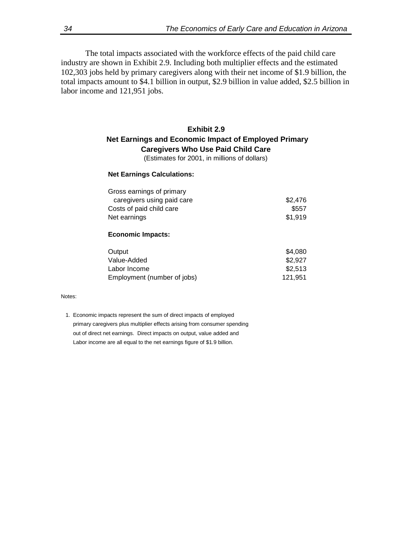The total impacts associated with the workforce effects of the paid child care industry are shown in Exhibit 2.9. Including both multiplier effects and the estimated 102,303 jobs held by primary caregivers along with their net income of \$1.9 billion, the total impacts amount to \$4.1 billion in output, \$2.9 billion in value added, \$2.5 billion in labor income and 121,951 jobs.

## **Exhibit 2.9 Net Earnings and Economic Impact of Employed Primary Caregivers Who Use Paid Child Care**

(Estimates for 2001, in millions of dollars)

#### **Net Earnings Calculations:**

| Gross earnings of primary<br>caregivers using paid care<br>Costs of paid child care<br>Net earnings | \$2,476<br>\$557<br>\$1,919 |  |  |
|-----------------------------------------------------------------------------------------------------|-----------------------------|--|--|
| <b>Economic Impacts:</b>                                                                            |                             |  |  |
| Output                                                                                              | \$4,080                     |  |  |
| Value-Added                                                                                         | \$2,927                     |  |  |
| Labor Income                                                                                        | \$2,513                     |  |  |

Employment (number of jobs) 121,951

#### Notes:

 1. Economic impacts represent the sum of direct impacts of employed primary caregivers plus multiplier effects arising from consumer spending out of direct net earnings. Direct impacts on output, value added and Labor income are all equal to the net earnings figure of \$1.9 billion.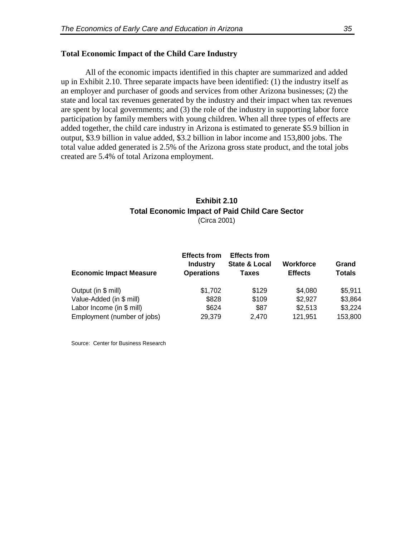#### **Total Economic Impact of the Child Care Industry**

All of the economic impacts identified in this chapter are summarized and added up in Exhibit 2.10. Three separate impacts have been identified: (1) the industry itself as an employer and purchaser of goods and services from other Arizona businesses; (2) the state and local tax revenues generated by the industry and their impact when tax revenues are spent by local governments; and (3) the role of the industry in supporting labor force participation by family members with young children. When all three types of effects are added together, the child care industry in Arizona is estimated to generate \$5.9 billion in output, \$3.9 billion in value added, \$3.2 billion in labor income and 153,800 jobs. The total value added generated is 2.5% of the Arizona gross state product, and the total jobs created are 5.4% of total Arizona employment.

## **Exhibit 2.10 Total Economic Impact of Paid Child Care Sector** (Circa 2001)

| <b>Economic Impact Measure</b> | <b>Effects from</b><br><b>Industry</b><br><b>Operations</b> | <b>Effects from</b><br><b>State &amp; Local</b><br><b>Taxes</b> | <b>Workforce</b><br><b>Effects</b> | Grand<br><b>Totals</b> |
|--------------------------------|-------------------------------------------------------------|-----------------------------------------------------------------|------------------------------------|------------------------|
| Output (in \$ mill)            | \$1,702                                                     | \$129                                                           | \$4,080                            | \$5,911                |
| Value-Added (in \$ mill)       | \$828                                                       | \$109                                                           | \$2,927                            | \$3,864                |
| Labor Income (in $$$ mill)     | \$624                                                       | \$87                                                            | \$2,513                            | \$3,224                |
| Employment (number of jobs)    | 29,379                                                      | 2,470                                                           | 121,951                            | 153,800                |

Source: Center for Business Research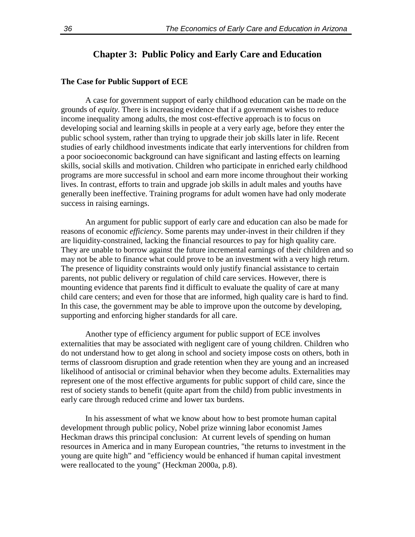## **Chapter 3: Public Policy and Early Care and Education**

#### **The Case for Public Support of ECE**

A case for government support of early childhood education can be made on the grounds of *equity*. There is increasing evidence that if a government wishes to reduce income inequality among adults, the most cost-effective approach is to focus on developing social and learning skills in people at a very early age, before they enter the public school system, rather than trying to upgrade their job skills later in life. Recent studies of early childhood investments indicate that early interventions for children from a poor socioeconomic background can have significant and lasting effects on learning skills, social skills and motivation. Children who participate in enriched early childhood programs are more successful in school and earn more income throughout their working lives. In contrast, efforts to train and upgrade job skills in adult males and youths have generally been ineffective. Training programs for adult women have had only moderate success in raising earnings.

An argument for public support of early care and education can also be made for reasons of economic *efficiency*. Some parents may under-invest in their children if they are liquidity-constrained*,* lacking the financial resources to pay for high quality care. They are unable to borrow against the future incremental earnings of their children and so may not be able to finance what could prove to be an investment with a very high return. The presence of liquidity constraints would only justify financial assistance to certain parents, not public delivery or regulation of child care services. However, there is mounting evidence that parents find it difficult to evaluate the quality of care at many child care centers; and even for those that are informed, high quality care is hard to find. In this case, the government may be able to improve upon the outcome by developing, supporting and enforcing higher standards for all care.

Another type of efficiency argument for public support of ECE involves externalities that may be associated with negligent care of young children. Children who do not understand how to get along in school and society impose costs on others, both in terms of classroom disruption and grade retention when they are young and an increased likelihood of antisocial or criminal behavior when they become adults. Externalities may represent one of the most effective arguments for public support of child care, since the rest of society stands to benefit (quite apart from the child) from public investments in early care through reduced crime and lower tax burdens.

In his assessment of what we know about how to best promote human capital development through public policy, Nobel prize winning labor economist James Heckman draws this principal conclusion: At current levels of spending on human resources in America and in many European countries, "the returns to investment in the young are quite high" and "efficiency would be enhanced if human capital investment were reallocated to the young" (Heckman 2000a, p.8).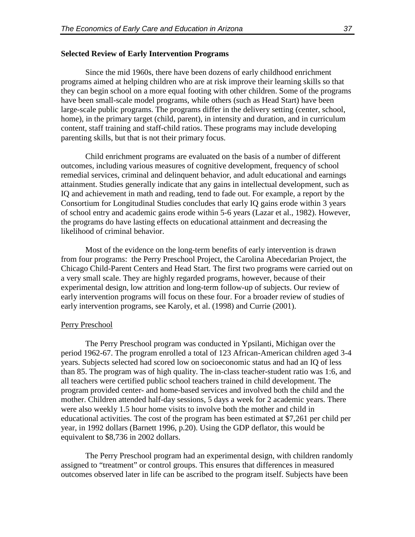### **Selected Review of Early Intervention Programs**

Since the mid 1960s, there have been dozens of early childhood enrichment programs aimed at helping children who are at risk improve their learning skills so that they can begin school on a more equal footing with other children. Some of the programs have been small-scale model programs, while others (such as Head Start) have been large-scale public programs. The programs differ in the delivery setting (center, school, home), in the primary target (child, parent), in intensity and duration, and in curriculum content, staff training and staff-child ratios. These programs may include developing parenting skills, but that is not their primary focus.

Child enrichment programs are evaluated on the basis of a number of different outcomes, including various measures of cognitive development, frequency of school remedial services, criminal and delinquent behavior, and adult educational and earnings attainment. Studies generally indicate that any gains in intellectual development, such as IQ and achievement in math and reading, tend to fade out. For example, a report by the Consortium for Longitudinal Studies concludes that early IQ gains erode within 3 years of school entry and academic gains erode within 5-6 years (Lazar et al., 1982). However, the programs do have lasting effects on educational attainment and decreasing the likelihood of criminal behavior.

Most of the evidence on the long-term benefits of early intervention is drawn from four programs: the Perry Preschool Project, the Carolina Abecedarian Project, the Chicago Child-Parent Centers and Head Start. The first two programs were carried out on a very small scale. They are highly regarded programs, however, because of their experimental design, low attrition and long-term follow-up of subjects. Our review of early intervention programs will focus on these four. For a broader review of studies of early intervention programs, see Karoly, et al. (1998) and Currie (2001).

#### Perry Preschool

The Perry Preschool program was conducted in Ypsilanti, Michigan over the period 1962-67. The program enrolled a total of 123 African-American children aged 3-4 years. Subjects selected had scored low on socioeconomic status and had an IQ of less than 85. The program was of high quality. The in-class teacher-student ratio was 1:6, and all teachers were certified public school teachers trained in child development. The program provided center- and home-based services and involved both the child and the mother. Children attended half-day sessions, 5 days a week for 2 academic years. There were also weekly 1.5 hour home visits to involve both the mother and child in educational activities. The cost of the program has been estimated at \$7,261 per child per year, in 1992 dollars (Barnett 1996, p.20). Using the GDP deflator, this would be equivalent to \$8,736 in 2002 dollars.

The Perry Preschool program had an experimental design, with children randomly assigned to "treatment" or control groups. This ensures that differences in measured outcomes observed later in life can be ascribed to the program itself. Subjects have been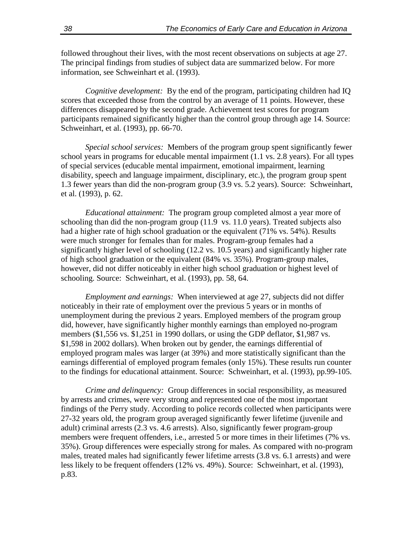followed throughout their lives, with the most recent observations on subjects at age 27. The principal findings from studies of subject data are summarized below. For more information, see Schweinhart et al. (1993).

*Cognitive development:* By the end of the program, participating children had IQ scores that exceeded those from the control by an average of 11 points. However, these differences disappeared by the second grade. Achievement test scores for program participants remained significantly higher than the control group through age 14. Source: Schweinhart, et al. (1993), pp. 66-70.

*Special school services:* Members of the program group spent significantly fewer school years in programs for educable mental impairment (1.1 vs. 2.8 years). For all types of special services (educable mental impairment, emotional impairment, learning disability, speech and language impairment, disciplinary, etc.), the program group spent 1.3 fewer years than did the non-program group (3.9 vs. 5.2 years). Source: Schweinhart, et al. (1993), p. 62.

*Educational attainment:* The program group completed almost a year more of schooling than did the non-program group (11.9 vs. 11.0 years). Treated subjects also had a higher rate of high school graduation or the equivalent (71% vs. 54%). Results were much stronger for females than for males. Program-group females had a significantly higher level of schooling (12.2 vs. 10.5 years) and significantly higher rate of high school graduation or the equivalent (84% vs. 35%). Program-group males, however, did not differ noticeably in either high school graduation or highest level of schooling. Source: Schweinhart, et al. (1993), pp. 58, 64.

*Employment and earnings:* When interviewed at age 27, subjects did not differ noticeably in their rate of employment over the previous 5 years or in months of unemployment during the previous 2 years. Employed members of the program group did, however, have significantly higher monthly earnings than employed no-program members (\$1,556 vs. \$1,251 in 1990 dollars, or using the GDP deflator, \$1,987 vs. \$1,598 in 2002 dollars). When broken out by gender, the earnings differential of employed program males was larger (at 39%) and more statistically significant than the earnings differential of employed program females (only 15%). These results run counter to the findings for educational attainment. Source: Schweinhart, et al. (1993), pp.99-105.

*Crime and delinquency:* Group differences in social responsibility, as measured by arrests and crimes, were very strong and represented one of the most important findings of the Perry study. According to police records collected when participants were 27-32 years old, the program group averaged significantly fewer lifetime (juvenile and adult) criminal arrests (2.3 vs. 4.6 arrests). Also, significantly fewer program-group members were frequent offenders, i.e., arrested 5 or more times in their lifetimes (7% vs. 35%). Group differences were especially strong for males. As compared with no-program males, treated males had significantly fewer lifetime arrests (3.8 vs. 6.1 arrests) and were less likely to be frequent offenders (12% vs. 49%). Source: Schweinhart, et al. (1993), p.83.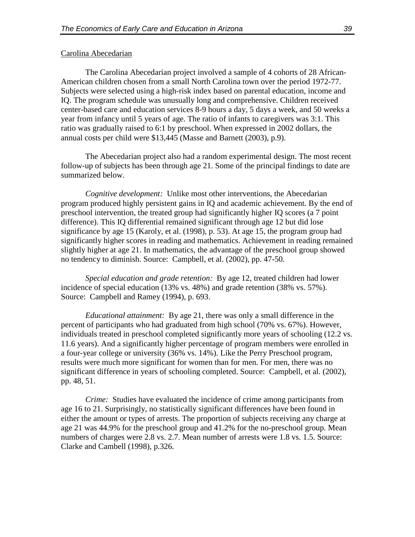#### Carolina Abecedarian

The Carolina Abecedarian project involved a sample of 4 cohorts of 28 African-American children chosen from a small North Carolina town over the period 1972-77. Subjects were selected using a high-risk index based on parental education, income and IQ. The program schedule was unusually long and comprehensive. Children received center-based care and education services 8-9 hours a day, 5 days a week, and 50 weeks a year from infancy until 5 years of age. The ratio of infants to caregivers was 3:1. This ratio was gradually raised to 6:1 by preschool. When expressed in 2002 dollars, the annual costs per child were \$13,445 (Masse and Barnett (2003), p.9).

The Abecedarian project also had a random experimental design. The most recent follow-up of subjects has been through age 21. Some of the principal findings to date are summarized below.

*Cognitive development:* Unlike most other interventions, the Abecedarian program produced highly persistent gains in IQ and academic achievement. By the end of preschool intervention, the treated group had significantly higher IQ scores (a 7 point difference). This IQ differential remained significant through age 12 but did lose significance by age 15 (Karoly, et al. (1998), p. 53). At age 15, the program group had significantly higher scores in reading and mathematics. Achievement in reading remained slightly higher at age 21. In mathematics, the advantage of the preschool group showed no tendency to diminish. Source: Campbell, et al. (2002), pp. 47-50.

*Special education and grade retention:* By age 12, treated children had lower incidence of special education (13% vs. 48%) and grade retention (38% vs. 57%). Source: Campbell and Ramey (1994), p. 693.

*Educational attainment:* By age 21, there was only a small difference in the percent of participants who had graduated from high school (70% vs. 67%). However, individuals treated in preschool completed significantly more years of schooling (12.2 vs. 11.6 years). And a significantly higher percentage of program members were enrolled in a four-year college or university (36% vs. 14%). Like the Perry Preschool program, results were much more significant for women than for men. For men, there was no significant difference in years of schooling completed. Source: Campbell, et al. (2002), pp. 48, 51.

*Crime:* Studies have evaluated the incidence of crime among participants from age 16 to 21. Surprisingly, no statistically significant differences have been found in either the amount or types of arrests. The proportion of subjects receiving any charge at age 21 was 44.9% for the preschool group and 41.2% for the no-preschool group. Mean numbers of charges were 2.8 vs. 2.7. Mean number of arrests were 1.8 vs. 1.5. Source: Clarke and Cambell (1998), p.326.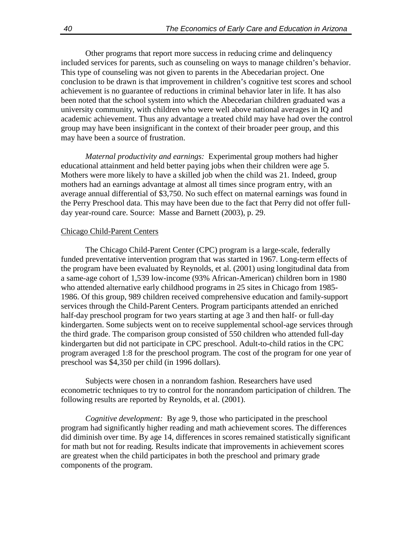Other programs that report more success in reducing crime and delinquency included services for parents, such as counseling on ways to manage children's behavior. This type of counseling was not given to parents in the Abecedarian project. One conclusion to be drawn is that improvement in children's cognitive test scores and school achievement is no guarantee of reductions in criminal behavior later in life. It has also been noted that the school system into which the Abecedarian children graduated was a university community, with children who were well above national averages in IQ and academic achievement. Thus any advantage a treated child may have had over the control group may have been insignificant in the context of their broader peer group, and this may have been a source of frustration.

*Maternal productivity and earnings:* Experimental group mothers had higher educational attainment and held better paying jobs when their children were age 5. Mothers were more likely to have a skilled job when the child was 21. Indeed, group mothers had an earnings advantage at almost all times since program entry, with an average annual differential of \$3,750. No such effect on maternal earnings was found in the Perry Preschool data. This may have been due to the fact that Perry did not offer fullday year-round care. Source: Masse and Barnett (2003), p. 29.

#### Chicago Child-Parent Centers

The Chicago Child-Parent Center (CPC) program is a large-scale, federally funded preventative intervention program that was started in 1967. Long-term effects of the program have been evaluated by Reynolds, et al. (2001) using longitudinal data from a same-age cohort of 1,539 low-income (93% African-American) children born in 1980 who attended alternative early childhood programs in 25 sites in Chicago from 1985- 1986. Of this group, 989 children received comprehensive education and family-support services through the Child-Parent Centers. Program participants attended an enriched half-day preschool program for two years starting at age 3 and then half- or full-day kindergarten. Some subjects went on to receive supplemental school-age services through the third grade. The comparison group consisted of 550 children who attended full-day kindergarten but did not participate in CPC preschool. Adult-to-child ratios in the CPC program averaged 1:8 for the preschool program. The cost of the program for one year of preschool was \$4,350 per child (in 1996 dollars).

Subjects were chosen in a nonrandom fashion. Researchers have used econometric techniques to try to control for the nonrandom participation of children. The following results are reported by Reynolds, et al. (2001).

*Cognitive development:* By age 9, those who participated in the preschool program had significantly higher reading and math achievement scores. The differences did diminish over time. By age 14, differences in scores remained statistically significant for math but not for reading. Results indicate that improvements in achievement scores are greatest when the child participates in both the preschool and primary grade components of the program.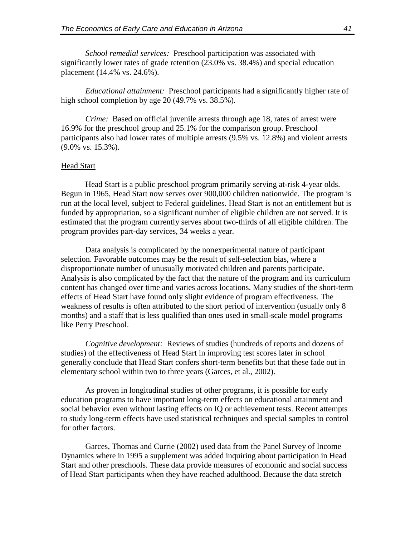*School remedial services:* Preschool participation was associated with significantly lower rates of grade retention (23.0% vs. 38.4%) and special education placement (14.4% vs. 24.6%).

*Educational attainment:* Preschool participants had a significantly higher rate of high school completion by age 20 (49.7% vs. 38.5%).

*Crime:* Based on official juvenile arrests through age 18, rates of arrest were 16.9% for the preschool group and 25.1% for the comparison group. Preschool participants also had lower rates of multiple arrests (9.5% vs. 12.8%) and violent arrests (9.0% vs. 15.3%).

#### Head Start

Head Start is a public preschool program primarily serving at-risk 4-year olds. Begun in 1965, Head Start now serves over 900,000 children nationwide. The program is run at the local level, subject to Federal guidelines. Head Start is not an entitlement but is funded by appropriation, so a significant number of eligible children are not served. It is estimated that the program currently serves about two-thirds of all eligible children. The program provides part-day services, 34 weeks a year.

Data analysis is complicated by the nonexperimental nature of participant selection. Favorable outcomes may be the result of self-selection bias, where a disproportionate number of unusually motivated children and parents participate. Analysis is also complicated by the fact that the nature of the program and its curriculum content has changed over time and varies across locations. Many studies of the short-term effects of Head Start have found only slight evidence of program effectiveness. The weakness of results is often attributed to the short period of intervention (usually only 8 months) and a staff that is less qualified than ones used in small-scale model programs like Perry Preschool.

*Cognitive development:* Reviews of studies (hundreds of reports and dozens of studies) of the effectiveness of Head Start in improving test scores later in school generally conclude that Head Start confers short-term benefits but that these fade out in elementary school within two to three years (Garces, et al., 2002).

As proven in longitudinal studies of other programs, it is possible for early education programs to have important long-term effects on educational attainment and social behavior even without lasting effects on IQ or achievement tests. Recent attempts to study long-term effects have used statistical techniques and special samples to control for other factors.

Garces, Thomas and Currie (2002) used data from the Panel Survey of Income Dynamics where in 1995 a supplement was added inquiring about participation in Head Start and other preschools. These data provide measures of economic and social success of Head Start participants when they have reached adulthood. Because the data stretch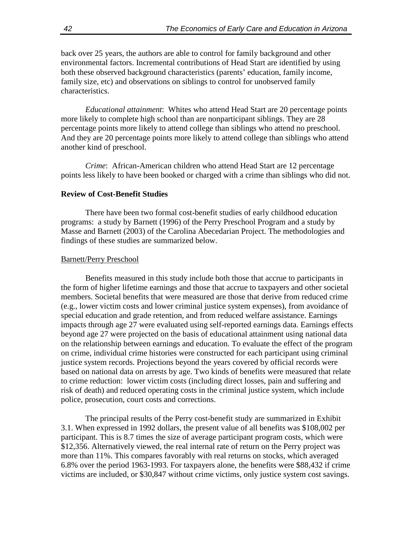back over 25 years, the authors are able to control for family background and other environmental factors. Incremental contributions of Head Start are identified by using both these observed background characteristics (parents' education, family income, family size, etc) and observations on siblings to control for unobserved family characteristics.

*Educational attainment*: Whites who attend Head Start are 20 percentage points more likely to complete high school than are nonparticipant siblings. They are 28 percentage points more likely to attend college than siblings who attend no preschool. And they are 20 percentage points more likely to attend college than siblings who attend another kind of preschool.

*Crime*: African-American children who attend Head Start are 12 percentage points less likely to have been booked or charged with a crime than siblings who did not.

### **Review of Cost-Benefit Studies**

There have been two formal cost-benefit studies of early childhood education programs: a study by Barnett (1996) of the Perry Preschool Program and a study by Masse and Barnett (2003) of the Carolina Abecedarian Project. The methodologies and findings of these studies are summarized below.

#### Barnett/Perry Preschool

Benefits measured in this study include both those that accrue to participants in the form of higher lifetime earnings and those that accrue to taxpayers and other societal members. Societal benefits that were measured are those that derive from reduced crime (e.g., lower victim costs and lower criminal justice system expenses), from avoidance of special education and grade retention, and from reduced welfare assistance. Earnings impacts through age 27 were evaluated using self-reported earnings data. Earnings effects beyond age 27 were projected on the basis of educational attainment using national data on the relationship between earnings and education. To evaluate the effect of the program on crime, individual crime histories were constructed for each participant using criminal justice system records. Projections beyond the years covered by official records were based on national data on arrests by age. Two kinds of benefits were measured that relate to crime reduction: lower victim costs (including direct losses, pain and suffering and risk of death) and reduced operating costs in the criminal justice system, which include police, prosecution, court costs and corrections.

The principal results of the Perry cost-benefit study are summarized in Exhibit 3.1. When expressed in 1992 dollars, the present value of all benefits was \$108,002 per participant. This is 8.7 times the size of average participant program costs, which were \$12,356. Alternatively viewed, the real internal rate of return on the Perry project was more than 11%. This compares favorably with real returns on stocks, which averaged 6.8% over the period 1963-1993. For taxpayers alone, the benefits were \$88,432 if crime victims are included, or \$30,847 without crime victims, only justice system cost savings.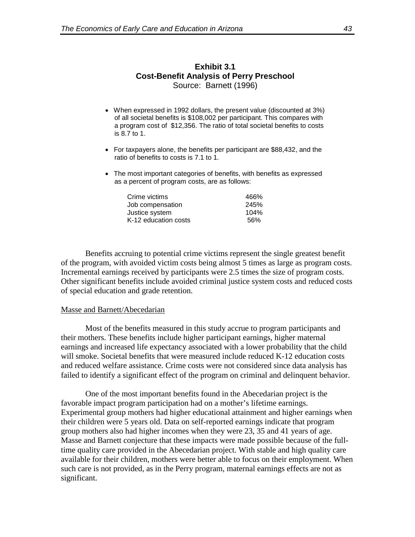## **Exhibit 3.1 Cost-Benefit Analysis of Perry Preschool** Source: Barnett (1996)

- When expressed in 1992 dollars, the present value (discounted at 3%) of all societal benefits is \$108,002 per participant. This compares with a program cost of \$12,356. The ratio of total societal benefits to costs is 8.7 to 1.
- For taxpayers alone, the benefits per participant are \$88,432, and the ratio of benefits to costs is 7.1 to 1.
- The most important categories of benefits, with benefits as expressed as a percent of program costs, are as follows:

| Crime victims        | 466% |
|----------------------|------|
| Job compensation     | 245% |
| Justice system       | 104% |
| K-12 education costs | .56% |

Benefits accruing to potential crime victims represent the single greatest benefit of the program, with avoided victim costs being almost 5 times as large as program costs. Incremental earnings received by participants were 2.5 times the size of program costs. Other significant benefits include avoided criminal justice system costs and reduced costs of special education and grade retention.

#### Masse and Barnett/Abecedarian

Most of the benefits measured in this study accrue to program participants and their mothers. These benefits include higher participant earnings, higher maternal earnings and increased life expectancy associated with a lower probability that the child will smoke. Societal benefits that were measured include reduced K-12 education costs and reduced welfare assistance. Crime costs were not considered since data analysis has failed to identify a significant effect of the program on criminal and delinquent behavior.

One of the most important benefits found in the Abecedarian project is the favorable impact program participation had on a mother's lifetime earnings. Experimental group mothers had higher educational attainment and higher earnings when their children were 5 years old. Data on self-reported earnings indicate that program group mothers also had higher incomes when they were 23, 35 and 41 years of age. Masse and Barnett conjecture that these impacts were made possible because of the fulltime quality care provided in the Abecedarian project. With stable and high quality care available for their children, mothers were better able to focus on their employment. When such care is not provided, as in the Perry program, maternal earnings effects are not as significant.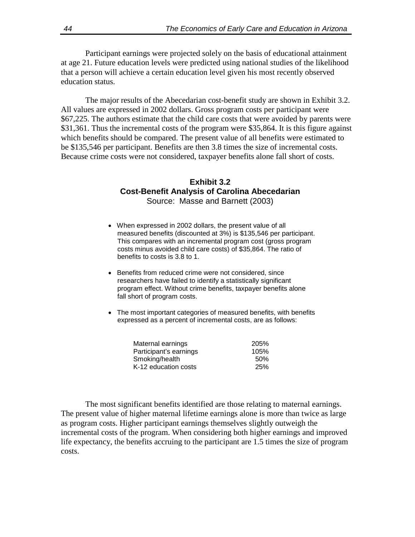Participant earnings were projected solely on the basis of educational attainment at age 21. Future education levels were predicted using national studies of the likelihood that a person will achieve a certain education level given his most recently observed education status.

The major results of the Abecedarian cost-benefit study are shown in Exhibit 3.2. All values are expressed in 2002 dollars. Gross program costs per participant were \$67,225. The authors estimate that the child care costs that were avoided by parents were \$31,361. Thus the incremental costs of the program were \$35,864. It is this figure against which benefits should be compared. The present value of all benefits were estimated to be \$135,546 per participant. Benefits are then 3.8 times the size of incremental costs. Because crime costs were not considered, taxpayer benefits alone fall short of costs.

### **Exhibit 3.2 Cost-Benefit Analysis of Carolina Abecedarian** Source: Masse and Barnett (2003)

- When expressed in 2002 dollars, the present value of all measured benefits (discounted at 3%) is \$135,546 per participant. This compares with an incremental program cost (gross program costs minus avoided child care costs) of \$35,864. The ratio of benefits to costs is 3.8 to 1.
- Benefits from reduced crime were not considered, since researchers have failed to identify a statistically significant program effect. Without crime benefits, taxpayer benefits alone fall short of program costs.
- The most important categories of measured benefits, with benefits expressed as a percent of incremental costs, are as follows:

| Maternal earnings      | 205% |
|------------------------|------|
| Participant's earnings | 105% |
| Smoking/health         | .50% |
| K-12 education costs   | 25%  |

The most significant benefits identified are those relating to maternal earnings. The present value of higher maternal lifetime earnings alone is more than twice as large as program costs. Higher participant earnings themselves slightly outweigh the incremental costs of the program. When considering both higher earnings and improved life expectancy, the benefits accruing to the participant are 1.5 times the size of program costs.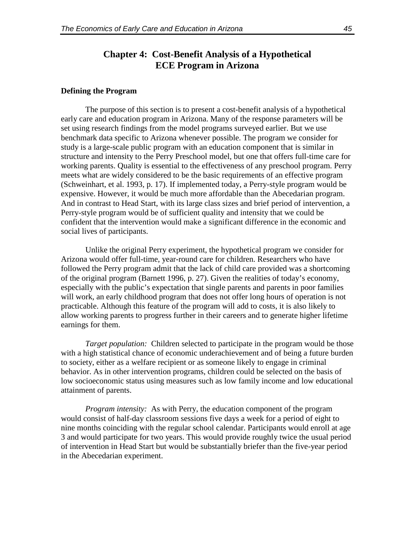## **Chapter 4: Cost-Benefit Analysis of a Hypothetical ECE Program in Arizona**

#### **Defining the Program**

The purpose of this section is to present a cost-benefit analysis of a hypothetical early care and education program in Arizona. Many of the response parameters will be set using research findings from the model programs surveyed earlier. But we use benchmark data specific to Arizona whenever possible. The program we consider for study is a large-scale public program with an education component that is similar in structure and intensity to the Perry Preschool model, but one that offers full-time care for working parents. Quality is essential to the effectiveness of any preschool program. Perry meets what are widely considered to be the basic requirements of an effective program (Schweinhart, et al. 1993, p. 17). If implemented today, a Perry-style program would be expensive. However, it would be much more affordable than the Abecedarian program. And in contrast to Head Start, with its large class sizes and brief period of intervention, a Perry-style program would be of sufficient quality and intensity that we could be confident that the intervention would make a significant difference in the economic and social lives of participants.

Unlike the original Perry experiment, the hypothetical program we consider for Arizona would offer full-time, year-round care for children. Researchers who have followed the Perry program admit that the lack of child care provided was a shortcoming of the original program (Barnett 1996, p. 27). Given the realities of today's economy, especially with the public's expectation that single parents and parents in poor families will work, an early childhood program that does not offer long hours of operation is not practicable. Although this feature of the program will add to costs, it is also likely to allow working parents to progress further in their careers and to generate higher lifetime earnings for them.

*Target population:* Children selected to participate in the program would be those with a high statistical chance of economic underachievement and of being a future burden to society, either as a welfare recipient or as someone likely to engage in criminal behavior. As in other intervention programs, children could be selected on the basis of low socioeconomic status using measures such as low family income and low educational attainment of parents.

*Program intensity:* As with Perry, the education component of the program would consist of half-day classroom sessions five days a week for a period of eight to nine months coinciding with the regular school calendar. Participants would enroll at age 3 and would participate for two years. This would provide roughly twice the usual period of intervention in Head Start but would be substantially briefer than the five-year period in the Abecedarian experiment.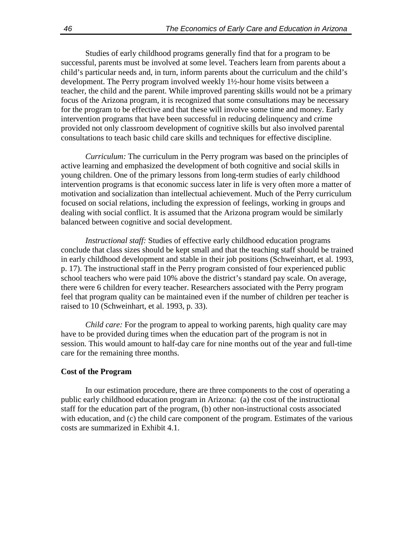Studies of early childhood programs generally find that for a program to be successful, parents must be involved at some level. Teachers learn from parents about a child's particular needs and, in turn, inform parents about the curriculum and the child's development. The Perry program involved weekly 1½-hour home visits between a teacher, the child and the parent. While improved parenting skills would not be a primary focus of the Arizona program, it is recognized that some consultations may be necessary for the program to be effective and that these will involve some time and money. Early intervention programs that have been successful in reducing delinquency and crime provided not only classroom development of cognitive skills but also involved parental consultations to teach basic child care skills and techniques for effective discipline.

*Curriculum:* The curriculum in the Perry program was based on the principles of active learning and emphasized the development of both cognitive and social skills in young children. One of the primary lessons from long-term studies of early childhood intervention programs is that economic success later in life is very often more a matter of motivation and socialization than intellectual achievement. Much of the Perry curriculum focused on social relations, including the expression of feelings, working in groups and dealing with social conflict. It is assumed that the Arizona program would be similarly balanced between cognitive and social development.

*Instructional staff:* Studies of effective early childhood education programs conclude that class sizes should be kept small and that the teaching staff should be trained in early childhood development and stable in their job positions (Schweinhart, et al. 1993, p. 17). The instructional staff in the Perry program consisted of four experienced public school teachers who were paid 10% above the district's standard pay scale. On average, there were 6 children for every teacher. Researchers associated with the Perry program feel that program quality can be maintained even if the number of children per teacher is raised to 10 (Schweinhart, et al. 1993, p. 33).

*Child care:* For the program to appeal to working parents, high quality care may have to be provided during times when the education part of the program is not in session. This would amount to half-day care for nine months out of the year and full-time care for the remaining three months.

#### **Cost of the Program**

In our estimation procedure, there are three components to the cost of operating a public early childhood education program in Arizona: (a) the cost of the instructional staff for the education part of the program, (b) other non-instructional costs associated with education, and (c) the child care component of the program. Estimates of the various costs are summarized in Exhibit 4.1.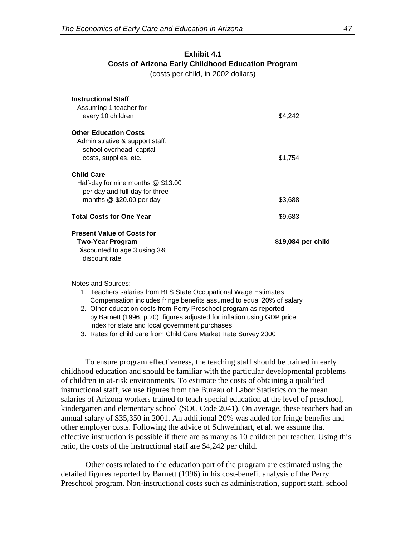## **Exhibit 4.1 Costs of Arizona Early Childhood Education Program** (costs per child, in 2002 dollars)

| <b>Instructional Staff</b><br>Assuming 1 teacher for<br>every 10 children                                                 | \$4,242            |
|---------------------------------------------------------------------------------------------------------------------------|--------------------|
| <b>Other Education Costs</b><br>Administrative & support staff,<br>school overhead, capital<br>costs, supplies, etc.      | \$1,754            |
| <b>Child Care</b><br>Half-day for nine months $@$ \$13.00<br>per day and full-day for three<br>months $@$ \$20.00 per day | \$3,688            |
| <b>Total Costs for One Year</b>                                                                                           | \$9,683            |
| <b>Present Value of Costs for</b><br>Two-Year Program<br>Discounted to age 3 using 3%<br>discount rate                    | \$19,084 per child |

Notes and Sources:

- 1. Teachers salaries from BLS State Occupational Wage Estimates; Compensation includes fringe benefits assumed to equal 20% of salary
- 2. Other education costs from Perry Preschool program as reported by Barnett (1996, p.20); figures adjusted for inflation using GDP price index for state and local government purchases

3. Rates for child care from Child Care Market Rate Survey 2000

To ensure program effectiveness, the teaching staff should be trained in early childhood education and should be familiar with the particular developmental problems of children in at-risk environments. To estimate the costs of obtaining a qualified instructional staff, we use figures from the Bureau of Labor Statistics on the mean salaries of Arizona workers trained to teach special education at the level of preschool, kindergarten and elementary school (SOC Code 2041). On average, these teachers had an annual salary of \$35,350 in 2001. An additional 20% was added for fringe benefits and other employer costs. Following the advice of Schweinhart, et al. we assume that effective instruction is possible if there are as many as 10 children per teacher. Using this ratio, the costs of the instructional staff are \$4,242 per child.

Other costs related to the education part of the program are estimated using the detailed figures reported by Barnett (1996) in his cost-benefit analysis of the Perry Preschool program. Non-instructional costs such as administration, support staff, school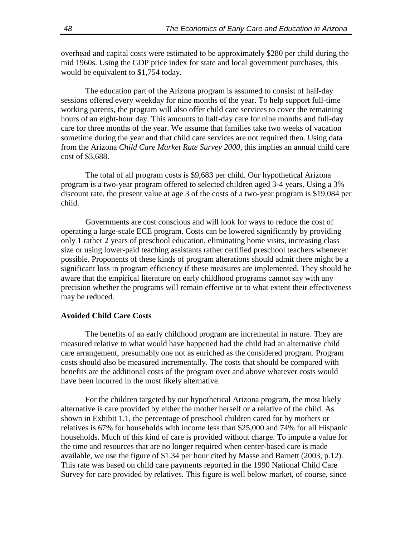overhead and capital costs were estimated to be approximately \$280 per child during the mid 1960s. Using the GDP price index for state and local government purchases, this would be equivalent to \$1,754 today.

The education part of the Arizona program is assumed to consist of half-day sessions offered every weekday for nine months of the year. To help support full-time working parents, the program will also offer child care services to cover the remaining hours of an eight-hour day. This amounts to half-day care for nine months and full-day care for three months of the year. We assume that families take two weeks of vacation sometime during the year and that child care services are not required then. Using data from the Arizona *Child Care Market Rate Survey 2000*, this implies an annual child care cost of \$3,688.

The total of all program costs is \$9,683 per child. Our hypothetical Arizona program is a two-year program offered to selected children aged 3-4 years. Using a 3% discount rate, the present value at age 3 of the costs of a two-year program is \$19,084 per child.

Governments are cost conscious and will look for ways to reduce the cost of operating a large-scale ECE program. Costs can be lowered significantly by providing only 1 rather 2 years of preschool education, eliminating home visits, increasing class size or using lower-paid teaching assistants rather certified preschool teachers whenever possible. Proponents of these kinds of program alterations should admit there might be a significant loss in program efficiency if these measures are implemented. They should be aware that the empirical literature on early childhood programs cannot say with any precision whether the programs will remain effective or to what extent their effectiveness may be reduced.

#### **Avoided Child Care Costs**

The benefits of an early childhood program are incremental in nature. They are measured relative to what would have happened had the child had an alternative child care arrangement, presumably one not as enriched as the considered program. Program costs should also be measured incrementally. The costs that should be compared with benefits are the additional costs of the program over and above whatever costs would have been incurred in the most likely alternative.

For the children targeted by our hypothetical Arizona program, the most likely alternative is care provided by either the mother herself or a relative of the child. As shown in Exhibit 1.1, the percentage of preschool children cared for by mothers or relatives is 67% for households with income less than \$25,000 and 74% for all Hispanic households. Much of this kind of care is provided without charge. To impute a value for the time and resources that are no longer required when center-based care is made available, we use the figure of \$1.34 per hour cited by Masse and Barnett (2003, p.12). This rate was based on child care payments reported in the 1990 National Child Care Survey for care provided by relatives. This figure is well below market, of course, since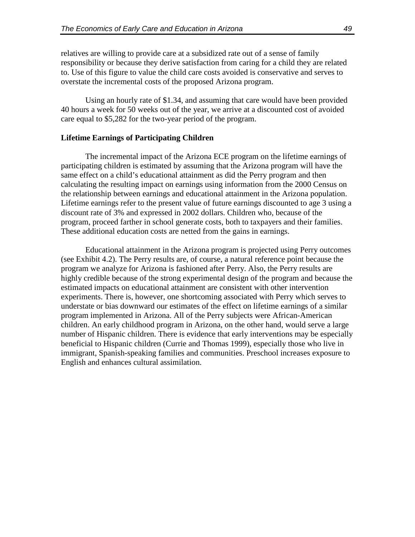relatives are willing to provide care at a subsidized rate out of a sense of family responsibility or because they derive satisfaction from caring for a child they are related to. Use of this figure to value the child care costs avoided is conservative and serves to overstate the incremental costs of the proposed Arizona program.

Using an hourly rate of \$1.34, and assuming that care would have been provided 40 hours a week for 50 weeks out of the year, we arrive at a discounted cost of avoided care equal to \$5,282 for the two-year period of the program.

#### **Lifetime Earnings of Participating Children**

The incremental impact of the Arizona ECE program on the lifetime earnings of participating children is estimated by assuming that the Arizona program will have the same effect on a child's educational attainment as did the Perry program and then calculating the resulting impact on earnings using information from the 2000 Census on the relationship between earnings and educational attainment in the Arizona population. Lifetime earnings refer to the present value of future earnings discounted to age 3 using a discount rate of 3% and expressed in 2002 dollars. Children who, because of the program, proceed farther in school generate costs, both to taxpayers and their families. These additional education costs are netted from the gains in earnings.

Educational attainment in the Arizona program is projected using Perry outcomes (see Exhibit 4.2). The Perry results are, of course, a natural reference point because the program we analyze for Arizona is fashioned after Perry. Also, the Perry results are highly credible because of the strong experimental design of the program and because the estimated impacts on educational attainment are consistent with other intervention experiments. There is, however, one shortcoming associated with Perry which serves to understate or bias downward our estimates of the effect on lifetime earnings of a similar program implemented in Arizona. All of the Perry subjects were African-American children. An early childhood program in Arizona, on the other hand, would serve a large number of Hispanic children. There is evidence that early interventions may be especially beneficial to Hispanic children (Currie and Thomas 1999), especially those who live in immigrant, Spanish-speaking families and communities. Preschool increases exposure to English and enhances cultural assimilation.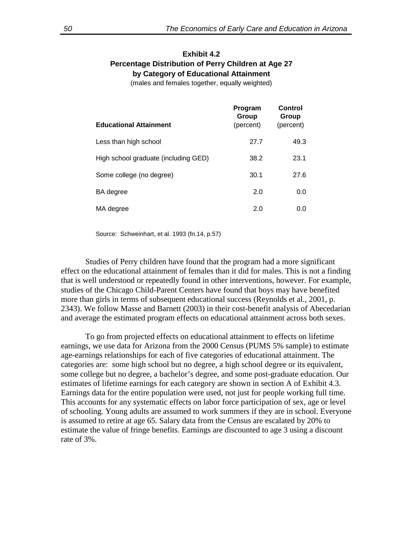### **Exhibit 4.2 Percentage Distribution of Perry Children at Age 27 by Category of Educational Attainment**

(males and females together, equally weighted)

| <b>Educational Attainment</b>        | Program<br>Group<br>(percent) | Control<br>Group<br>(percent) |
|--------------------------------------|-------------------------------|-------------------------------|
| Less than high school                | 27.7                          | 49.3                          |
| High school graduate (including GED) | 38.2                          | 23.1                          |
| Some college (no degree)             | 30.1                          | 27.6                          |
| BA degree                            | 2.0                           | 0.0                           |
| MA degree                            | 2.0                           | 0.0                           |

Source: Schweinhart, et al. 1993 (fn.14, p.57)

Studies of Perry children have found that the program had a more significant effect on the educational attainment of females than it did for males. This is not a finding that is well understood or repeatedly found in other interventions, however. For example, studies of the Chicago Child-Parent Centers have found that boys may have benefited more than girls in terms of subsequent educational success (Reynolds et al., 2001, p. 2343). We follow Masse and Barnett (2003) in their cost-benefit analysis of Abecedarian and average the estimated program effects on educational attainment across both sexes.

To go from projected effects on educational attainment to effects on lifetime earnings, we use data for Arizona from the 2000 Census (PUMS 5% sample) to estimate age-earnings relationships for each of five categories of educational attainment. The categories are: some high school but no degree, a high school degree or its equivalent, some college but no degree, a bachelor's degree, and some post-graduate education. Our estimates of lifetime earnings for each category are shown in section A of Exhibit 4.3. Earnings data for the entire population were used, not just for people working full time. This accounts for any systematic effects on labor force participation of sex, age or level of schooling. Young adults are assumed to work summers if they are in school. Everyone is assumed to retire at age 65. Salary data from the Census are escalated by 20% to estimate the value of fringe benefits. Earnings are discounted to age 3 using a discount rate of 3%.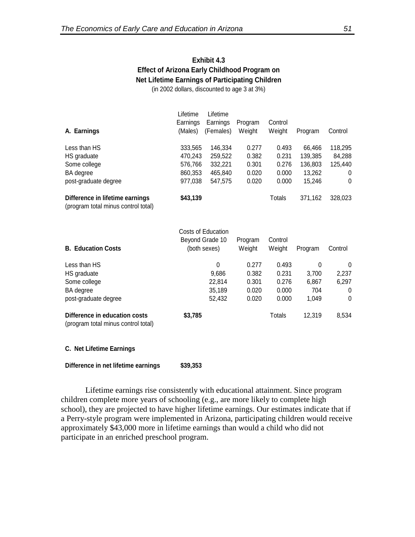## **Exhibit 4.3 Effect of Arizona Early Childhood Program on Net Lifetime Earnings of Participating Children**

(in 2002 dollars, discounted to age 3 at 3%)

| A. Earnings                                                            | Lifetime<br>Earnings<br>(Males) | Lifetime<br>Earnings<br>(Females) | Program<br>Weight | Control<br>Weight | Program | Control |
|------------------------------------------------------------------------|---------------------------------|-----------------------------------|-------------------|-------------------|---------|---------|
| Less than HS                                                           | 333,565                         | 146.334                           | 0.277             | 0.493             | 66.466  | 118,295 |
| HS graduate                                                            | 470,243                         | 259,522                           | 0.382             | 0.231             | 139,385 | 84,288  |
| Some college                                                           | 576,766                         | 332.221                           | 0.301             | 0.276             | 136,803 | 125,440 |
| BA degree                                                              | 860,353                         | 465,840                           | 0.020             | 0.000             | 13,262  | 0       |
| post-graduate degree                                                   | 977,038                         | 547,575                           | 0.020             | 0.000             | 15,246  | 0       |
| Difference in lifetime earnings<br>(program total minus control total) | \$43,139                        |                                   |                   | Totals            | 371,162 | 328,023 |

| <b>B. Education Costs</b>                                            | Costs of Education<br>Beyond Grade 10<br>(both sexes) | Program<br>Weight | Control<br>Weight | Program | Control      |
|----------------------------------------------------------------------|-------------------------------------------------------|-------------------|-------------------|---------|--------------|
| Less than HS                                                         | 0                                                     | 0.277             | 0.493             | 0       | 0            |
| HS graduate                                                          | 9,686                                                 | 0.382             | 0.231             | 3,700   | 2,237        |
| Some college                                                         | 22.814                                                | 0.301             | 0.276             | 6,867   | 6,297        |
| BA degree                                                            | 35,189                                                | 0.020             | 0.000             | 704     | 0            |
| post-graduate degree                                                 | 52,432                                                | 0.020             | 0.000             | 1.049   | $\mathbf{0}$ |
| Difference in education costs<br>(program total minus control total) | \$3,785                                               |                   | Totals            | 12,319  | 8,534        |

#### **C. Net Lifetime Earnings**

#### **Difference in net lifetime earnings \$39,353**

Lifetime earnings rise consistently with educational attainment. Since program children complete more years of schooling (e.g., are more likely to complete high school), they are projected to have higher lifetime earnings. Our estimates indicate that if a Perry-style program were implemented in Arizona, participating children would receive approximately \$43,000 more in lifetime earnings than would a child who did not participate in an enriched preschool program.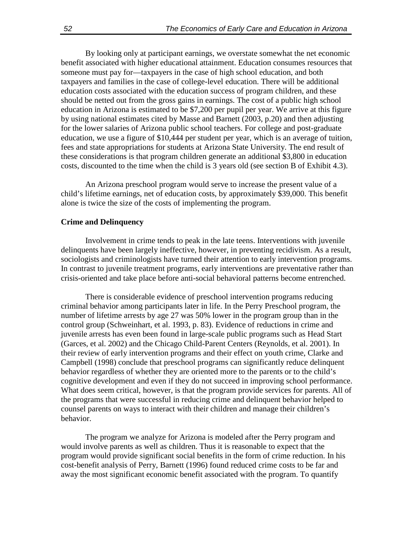By looking only at participant earnings, we overstate somewhat the net economic benefit associated with higher educational attainment. Education consumes resources that someone must pay for—taxpayers in the case of high school education, and both taxpayers and families in the case of college-level education. There will be additional education costs associated with the education success of program children, and these should be netted out from the gross gains in earnings. The cost of a public high school education in Arizona is estimated to be \$7,200 per pupil per year. We arrive at this figure by using national estimates cited by Masse and Barnett (2003, p.20) and then adjusting for the lower salaries of Arizona public school teachers. For college and post-graduate education, we use a figure of \$10,444 per student per year, which is an average of tuition, fees and state appropriations for students at Arizona State University. The end result of these considerations is that program children generate an additional \$3,800 in education costs, discounted to the time when the child is 3 years old (see section B of Exhibit 4.3).

An Arizona preschool program would serve to increase the present value of a child's lifetime earnings, net of education costs, by approximately \$39,000. This benefit alone is twice the size of the costs of implementing the program.

#### **Crime and Delinquency**

Involvement in crime tends to peak in the late teens. Interventions with juvenile delinquents have been largely ineffective, however, in preventing recidivism. As a result, sociologists and criminologists have turned their attention to early intervention programs. In contrast to juvenile treatment programs, early interventions are preventative rather than crisis-oriented and take place before anti-social behavioral patterns become entrenched.

There is considerable evidence of preschool intervention programs reducing criminal behavior among participants later in life. In the Perry Preschool program, the number of lifetime arrests by age 27 was 50% lower in the program group than in the control group (Schweinhart, et al. 1993, p. 83). Evidence of reductions in crime and juvenile arrests has even been found in large-scale public programs such as Head Start (Garces, et al. 2002) and the Chicago Child-Parent Centers (Reynolds, et al. 2001). In their review of early intervention programs and their effect on youth crime, Clarke and Campbell (1998) conclude that preschool programs can significantly reduce delinquent behavior regardless of whether they are oriented more to the parents or to the child's cognitive development and even if they do not succeed in improving school performance. What does seem critical, however, is that the program provide services for parents. All of the programs that were successful in reducing crime and delinquent behavior helped to counsel parents on ways to interact with their children and manage their children's behavior.

The program we analyze for Arizona is modeled after the Perry program and would involve parents as well as children. Thus it is reasonable to expect that the program would provide significant social benefits in the form of crime reduction. In his cost-benefit analysis of Perry, Barnett (1996) found reduced crime costs to be far and away the most significant economic benefit associated with the program. To quantify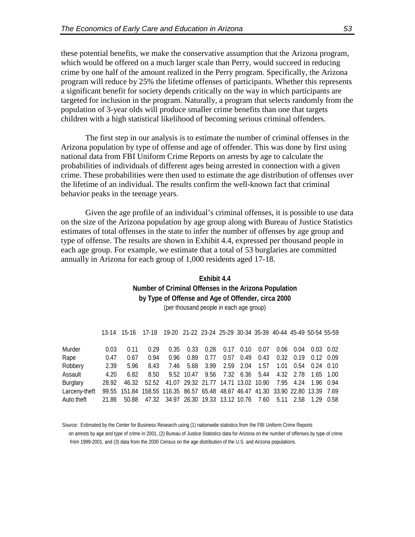these potential benefits, we make the conservative assumption that the Arizona program, which would be offered on a much larger scale than Perry, would succeed in reducing crime by one half of the amount realized in the Perry program. Specifically, the Arizona program will reduce by 25% the lifetime offenses of participants. Whether this represents a significant benefit for society depends critically on the way in which participants are targeted for inclusion in the program. Naturally, a program that selects randomly from the population of 3-year olds will produce smaller crime benefits than one that targets children with a high statistical likelihood of becoming serious criminal offenders.

The first step in our analysis is to estimate the number of criminal offenses in the Arizona population by type of offense and age of offender. This was done by first using national data from FBI Uniform Crime Reports on arrests by age to calculate the probabilities of individuals of different ages being arrested in connection with a given crime. These probabilities were then used to estimate the age distribution of offenses over the lifetime of an individual. The results confirm the well-known fact that criminal behavior peaks in the teenage years.

Given the age profile of an individual's criminal offenses, it is possible to use data on the size of the Arizona population by age group along with Bureau of Justice Statistics estimates of total offenses in the state to infer the number of offenses by age group and type of offense. The results are shown in Exhibit 4.4, expressed per thousand people in each age group. For example, we estimate that a total of 53 burglaries are committed annually in Arizona for each group of 1,000 residents aged 17-18.

### **Exhibit 4.4 Number of Criminal Offenses in the Arizona Population by Type of Offense and Age of Offender, circa 2000** (per thousand people in each age group)

|                 |       | 13-14 15-16 17-18 19-20 21-22 23-24 25-29 30-34 35-39 40-44 45-49 50-54 55-59   |                                                                     |                                                                   |                                    |      |  |                  |                        |                        |  |
|-----------------|-------|---------------------------------------------------------------------------------|---------------------------------------------------------------------|-------------------------------------------------------------------|------------------------------------|------|--|------------------|------------------------|------------------------|--|
| Murder          | 0.03  | 0.11                                                                            | 0.29                                                                |                                                                   | $0.35$ $0.33$ $0.28$ $0.17$ $0.10$ |      |  | 0.07             |                        | $0.06$ 0.04 0.03 0.02  |  |
| Rape            | 0.47  | 0.67                                                                            | 0.94                                                                | 0.96                                                              | 0.89                               | 0.77 |  | $0.57$ 0.49 0.43 | 0.32  0.19  0.12  0.09 |                        |  |
| Robbery         | 2.39  | 5.96                                                                            | 8.43                                                                |                                                                   | 7.46 5.68 3.99 2.59 2.04 1.57      |      |  |                  |                        | 1.01  0.54  0.24  0.10 |  |
| Assault         | 4.20  | 6.82                                                                            |                                                                     | 8.50  9.52  10.47  9.56  7.32  6.36  5.44  4.32  2.78  1.65  1.00 |                                    |      |  |                  |                        |                        |  |
| <b>Burglary</b> | 28.92 |                                                                                 | 46.32 52.52 41.07 29.32 21.77 14.71 13.02 10.90 7.95 4.24 1.96 0.94 |                                                                   |                                    |      |  |                  |                        |                        |  |
| Larceny-theft   |       | 99.55 151.84 158.55 116.35 86.57 65.48 48.67 46.47 41.30 33.90 22.80 13.39 7.69 |                                                                     |                                                                   |                                    |      |  |                  |                        |                        |  |
| Auto theft      |       | 21.86 50.88 47.32 34.97 26.30 19.33 13.12 10.76 7.60 5.11 2.58 1.29 0.58        |                                                                     |                                                                   |                                    |      |  |                  |                        |                        |  |

Source: Estimated by the Center for Business Research using (1) nationwide statistics from the FBI Uniform Crime Reports on arrests by age and type of crime in 2001, (2) Bureau of Justice Statistics data for Arizona on the number of offenses by type of crime from 1999-2001, and (3) data from the 2000 Census on the age distribution of the U.S. and Arizona populations.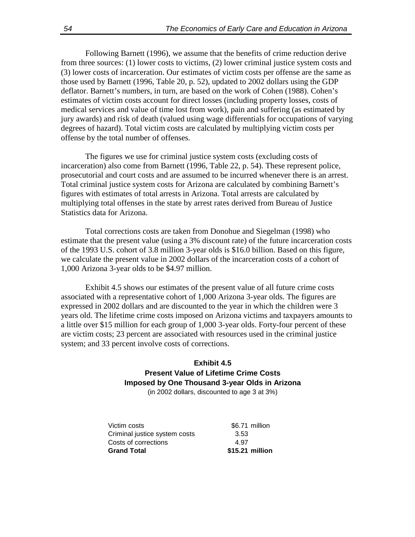Following Barnett (1996), we assume that the benefits of crime reduction derive from three sources: (1) lower costs to victims, (2) lower criminal justice system costs and (3) lower costs of incarceration. Our estimates of victim costs per offense are the same as those used by Barnett (1996, Table 20, p. 52), updated to 2002 dollars using the GDP deflator. Barnett's numbers, in turn, are based on the work of Cohen (1988). Cohen's estimates of victim costs account for direct losses (including property losses, costs of medical services and value of time lost from work), pain and suffering (as estimated by jury awards) and risk of death (valued using wage differentials for occupations of varying degrees of hazard). Total victim costs are calculated by multiplying victim costs per offense by the total number of offenses.

The figures we use for criminal justice system costs (excluding costs of incarceration) also come from Barnett (1996, Table 22, p. 54). These represent police, prosecutorial and court costs and are assumed to be incurred whenever there is an arrest. Total criminal justice system costs for Arizona are calculated by combining Barnett's figures with estimates of total arrests in Arizona. Total arrests are calculated by multiplying total offenses in the state by arrest rates derived from Bureau of Justice Statistics data for Arizona.

Total corrections costs are taken from Donohue and Siegelman (1998) who estimate that the present value (using a 3% discount rate) of the future incarceration costs of the 1993 U.S. cohort of 3.8 million 3-year olds is \$16.0 billion. Based on this figure, we calculate the present value in 2002 dollars of the incarceration costs of a cohort of 1,000 Arizona 3-year olds to be \$4.97 million.

Exhibit 4.5 shows our estimates of the present value of all future crime costs associated with a representative cohort of 1,000 Arizona 3-year olds. The figures are expressed in 2002 dollars and are discounted to the year in which the children were 3 years old. The lifetime crime costs imposed on Arizona victims and taxpayers amounts to a little over \$15 million for each group of 1,000 3-year olds. Forty-four percent of these are victim costs; 23 percent are associated with resources used in the criminal justice system; and 33 percent involve costs of corrections.

## (in 2002 dollars, discounted to age 3 at 3%) **Exhibit 4.5 Present Value of Lifetime Crime Costs Imposed by One Thousand 3-year Olds in Arizona**

| <b>Grand Total</b>            | \$15.21 million |
|-------------------------------|-----------------|
| Costs of corrections          | 4.97            |
| Criminal justice system costs | 3.53            |
| Victim costs                  | \$6.71 million  |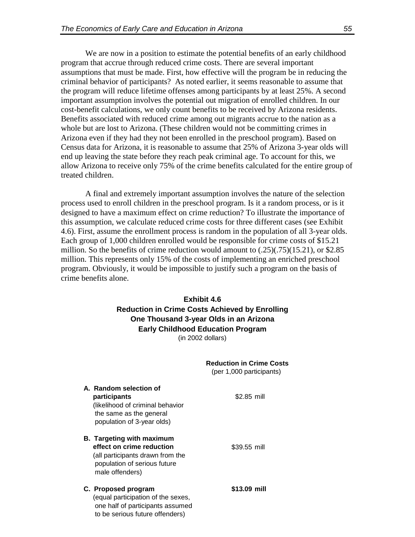We are now in a position to estimate the potential benefits of an early childhood program that accrue through reduced crime costs. There are several important assumptions that must be made. First, how effective will the program be in reducing the criminal behavior of participants? As noted earlier, it seems reasonable to assume that the program will reduce lifetime offenses among participants by at least 25%. A second important assumption involves the potential out migration of enrolled children. In our cost-benefit calculations, we only count benefits to be received by Arizona residents. Benefits associated with reduced crime among out migrants accrue to the nation as a whole but are lost to Arizona. (These children would not be committing crimes in Arizona even if they had they not been enrolled in the preschool program). Based on Census data for Arizona, it is reasonable to assume that 25% of Arizona 3-year olds will end up leaving the state before they reach peak criminal age. To account for this, we allow Arizona to receive only 75% of the crime benefits calculated for the entire group of treated children.

A final and extremely important assumption involves the nature of the selection process used to enroll children in the preschool program. Is it a random process, or is it designed to have a maximum effect on crime reduction? To illustrate the importance of this assumption, we calculate reduced crime costs for three different cases (see Exhibit 4.6). First, assume the enrollment process is random in the population of all 3-year olds. Each group of 1,000 children enrolled would be responsible for crime costs of \$15.21 million. So the benefits of crime reduction would amount to  $(.25)(.75)(15.21)$ , or \$2.85 million. This represents only 15% of the costs of implementing an enriched preschool program. Obviously, it would be impossible to justify such a program on the basis of crime benefits alone.

## (in 2002 dollars) **Exhibit 4.6 Reduction in Crime Costs Achieved by Enrolling One Thousand 3-year Olds in an Arizona Early Childhood Education Program**

|                                                                                                                                                      | <b>Reduction in Crime Costs</b><br>(per 1,000 participants) |
|------------------------------------------------------------------------------------------------------------------------------------------------------|-------------------------------------------------------------|
| A. Random selection of<br>participants<br>likelihood of criminal behavior)<br>the same as the general<br>population of 3-year olds)                  | \$2.85 mill                                                 |
| <b>B.</b> Targeting with maximum<br>effect on crime reduction<br>(all participants drawn from the<br>population of serious future<br>male offenders) | \$39.55 mill                                                |
| C. Proposed program<br>(equal participation of the sexes,<br>one half of participants assumed<br>to be serious future offenders)                     | \$13.09 mill                                                |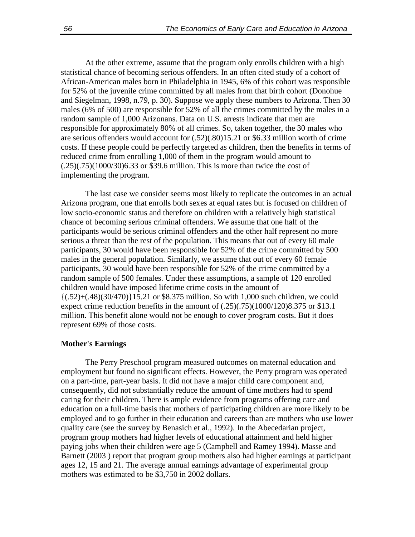At the other extreme, assume that the program only enrolls children with a high statistical chance of becoming serious offenders. In an often cited study of a cohort of African-American males born in Philadelphia in 1945, 6% of this cohort was responsible for 52% of the juvenile crime committed by all males from that birth cohort (Donohue and Siegelman, 1998, n.79, p. 30). Suppose we apply these numbers to Arizona. Then 30 males (6% of 500) are responsible for 52% of all the crimes committed by the males in a random sample of 1,000 Arizonans. Data on U.S. arrests indicate that men are responsible for approximately 80% of all crimes. So, taken together, the 30 males who are serious offenders would account for (.52)(.80)15.21 or \$6.33 million worth of crime costs. If these people could be perfectly targeted as children, then the benefits in terms of reduced crime from enrolling 1,000 of them in the program would amount to (.25)(.75)(1000/30)6.33 or \$39.6 million. This is more than twice the cost of implementing the program.

The last case we consider seems most likely to replicate the outcomes in an actual Arizona program, one that enrolls both sexes at equal rates but is focused on children of low socio-economic status and therefore on children with a relatively high statistical chance of becoming serious criminal offenders. We assume that one half of the participants would be serious criminal offenders and the other half represent no more serious a threat than the rest of the population. This means that out of every 60 male participants, 30 would have been responsible for 52% of the crime committed by 500 males in the general population. Similarly, we assume that out of every 60 female participants, 30 would have been responsible for 52% of the crime committed by a random sample of 500 females. Under these assumptions, a sample of 120 enrolled children would have imposed lifetime crime costs in the amount of  $\{(0.52)+(0.48)(30/470)\}15.21$  or \$8.375 million. So with 1,000 such children, we could expect crime reduction benefits in the amount of (.25)(.75)(1000/120)8.375 or \$13.1 million. This benefit alone would not be enough to cover program costs. But it does represent 69% of those costs.

#### **Mother's Earnings**

The Perry Preschool program measured outcomes on maternal education and employment but found no significant effects. However, the Perry program was operated on a part-time, part-year basis. It did not have a major child care component and, consequently, did not substantially reduce the amount of time mothers had to spend caring for their children. There is ample evidence from programs offering care and education on a full-time basis that mothers of participating children are more likely to be employed and to go further in their education and careers than are mothers who use lower quality care (see the survey by Benasich et al., 1992). In the Abecedarian project, program group mothers had higher levels of educational attainment and held higher paying jobs when their children were age 5 (Campbell and Ramey 1994). Masse and Barnett (2003 ) report that program group mothers also had higher earnings at participant ages 12, 15 and 21. The average annual earnings advantage of experimental group mothers was estimated to be \$3,750 in 2002 dollars.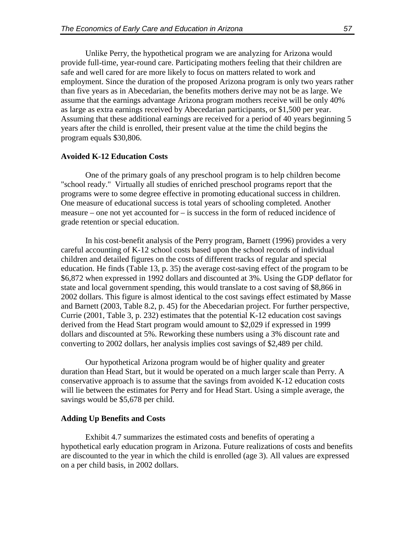Unlike Perry, the hypothetical program we are analyzing for Arizona would provide full-time, year-round care. Participating mothers feeling that their children are safe and well cared for are more likely to focus on matters related to work and employment. Since the duration of the proposed Arizona program is only two years rather than five years as in Abecedarian, the benefits mothers derive may not be as large. We assume that the earnings advantage Arizona program mothers receive will be only 40% as large as extra earnings received by Abecedarian participants, or \$1,500 per year. Assuming that these additional earnings are received for a period of 40 years beginning 5 years after the child is enrolled, their present value at the time the child begins the program equals \$30,806.

#### **Avoided K-12 Education Costs**

One of the primary goals of any preschool program is to help children become "school ready." Virtually all studies of enriched preschool programs report that the programs were to some degree effective in promoting educational success in children. One measure of educational success is total years of schooling completed. Another measure – one not yet accounted for – is success in the form of reduced incidence of grade retention or special education.

In his cost-benefit analysis of the Perry program, Barnett (1996) provides a very careful accounting of K-12 school costs based upon the school records of individual children and detailed figures on the costs of different tracks of regular and special education. He finds (Table 13, p. 35) the average cost-saving effect of the program to be \$6,872 when expressed in 1992 dollars and discounted at 3%. Using the GDP deflator for state and local government spending, this would translate to a cost saving of \$8,866 in 2002 dollars. This figure is almost identical to the cost savings effect estimated by Masse and Barnett (2003, Table 8.2, p. 45) for the Abecedarian project. For further perspective, Currie (2001, Table 3, p. 232) estimates that the potential K-12 education cost savings derived from the Head Start program would amount to \$2,029 if expressed in 1999 dollars and discounted at 5%. Reworking these numbers using a 3% discount rate and converting to 2002 dollars, her analysis implies cost savings of \$2,489 per child.

Our hypothetical Arizona program would be of higher quality and greater duration than Head Start, but it would be operated on a much larger scale than Perry. A conservative approach is to assume that the savings from avoided K-12 education costs will lie between the estimates for Perry and for Head Start. Using a simple average, the savings would be \$5,678 per child.

#### **Adding Up Benefits and Costs**

Exhibit 4.7 summarizes the estimated costs and benefits of operating a hypothetical early education program in Arizona. Future realizations of costs and benefits are discounted to the year in which the child is enrolled (age 3). All values are expressed on a per child basis, in 2002 dollars.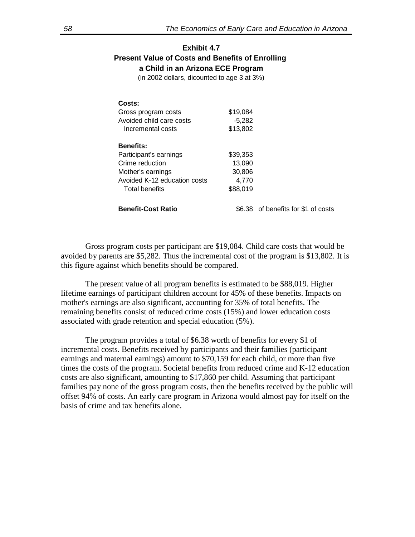## **Exhibit 4.7 Present Value of Costs and Benefits of Enrolling a Child in an Arizona ECE Program**

(in 2002 dollars, dicounted to age 3 at 3%)

| Costs:<br>Gross program costs<br>Avoided child care costs<br>Incremental costs | \$19.084<br>$-5,282$<br>\$13,802 |                                     |
|--------------------------------------------------------------------------------|----------------------------------|-------------------------------------|
| <b>Benefits:</b>                                                               |                                  |                                     |
| Participant's earnings                                                         | \$39,353                         |                                     |
| Crime reduction                                                                | 13,090                           |                                     |
| Mother's earnings                                                              | 30,806                           |                                     |
| Avoided K-12 education costs                                                   | 4.770                            |                                     |
| <b>Total benefits</b>                                                          | \$88,019                         |                                     |
| <b>Benefit-Cost Ratio</b>                                                      |                                  | \$6.38 of benefits for \$1 of costs |

Gross program costs per participant are \$19,084. Child care costs that would be avoided by parents are \$5,282. Thus the incremental cost of the program is \$13,802. It is this figure against which benefits should be compared.

The present value of all program benefits is estimated to be \$88,019. Higher lifetime earnings of participant children account for 45% of these benefits. Impacts on mother's earnings are also significant, accounting for 35% of total benefits. The remaining benefits consist of reduced crime costs (15%) and lower education costs associated with grade retention and special education (5%).

The program provides a total of \$6.38 worth of benefits for every \$1 of incremental costs. Benefits received by participants and their families (participant earnings and maternal earnings) amount to \$70,159 for each child, or more than five times the costs of the program. Societal benefits from reduced crime and K-12 education costs are also significant, amounting to \$17,860 per child. Assuming that participant families pay none of the gross program costs, then the benefits received by the public will offset 94% of costs. An early care program in Arizona would almost pay for itself on the basis of crime and tax benefits alone.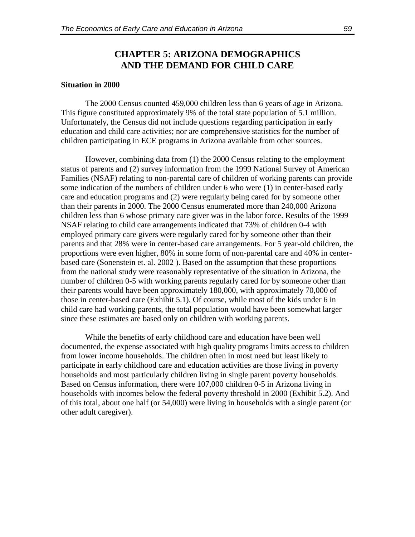## **CHAPTER 5: ARIZONA DEMOGRAPHICS AND THE DEMAND FOR CHILD CARE**

#### **Situation in 2000**

The 2000 Census counted 459,000 children less than 6 years of age in Arizona. This figure constituted approximately 9% of the total state population of 5.1 million. Unfortunately, the Census did not include questions regarding participation in early education and child care activities; nor are comprehensive statistics for the number of children participating in ECE programs in Arizona available from other sources.

However, combining data from (1) the 2000 Census relating to the employment status of parents and (2) survey information from the 1999 National Survey of American Families (NSAF) relating to non-parental care of children of working parents can provide some indication of the numbers of children under 6 who were (1) in center-based early care and education programs and (2) were regularly being cared for by someone other than their parents in 2000. The 2000 Census enumerated more than 240,000 Arizona children less than 6 whose primary care giver was in the labor force. Results of the 1999 NSAF relating to child care arrangements indicated that 73% of children 0-4 with employed primary care givers were regularly cared for by someone other than their parents and that 28% were in center-based care arrangements. For 5 year-old children, the proportions were even higher, 80% in some form of non-parental care and 40% in centerbased care (Sonenstein et. al. 2002 ). Based on the assumption that these proportions from the national study were reasonably representative of the situation in Arizona, the number of children 0-5 with working parents regularly cared for by someone other than their parents would have been approximately 180,000, with approximately 70,000 of those in center-based care (Exhibit 5.1). Of course, while most of the kids under 6 in child care had working parents, the total population would have been somewhat larger since these estimates are based only on children with working parents.

While the benefits of early childhood care and education have been well documented, the expense associated with high quality programs limits access to children from lower income households. The children often in most need but least likely to participate in early childhood care and education activities are those living in poverty households and most particularly children living in single parent poverty households. Based on Census information, there were 107,000 children 0-5 in Arizona living in households with incomes below the federal poverty threshold in 2000 (Exhibit 5.2). And of this total, about one half (or 54,000) were living in households with a single parent (or other adult caregiver).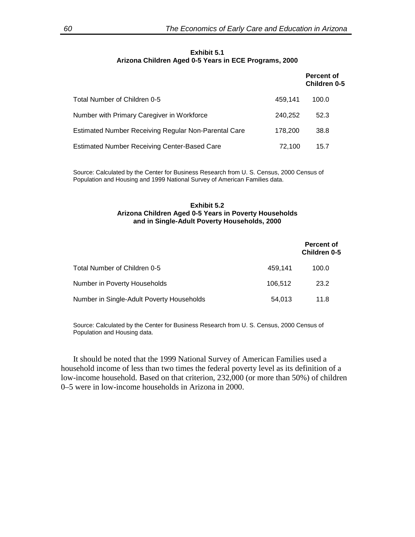#### **Exhibit 5.1 Arizona Children Aged 0-5 Years in ECE Programs, 2000**

|                                                      |         | Percent of<br><b>Children 0-5</b> |
|------------------------------------------------------|---------|-----------------------------------|
| Total Number of Children 0-5                         | 459.141 | 100.0                             |
| Number with Primary Caregiver in Workforce           | 240.252 | 52.3                              |
| Estimated Number Receiving Regular Non-Parental Care | 178,200 | 38.8                              |
| <b>Estimated Number Receiving Center-Based Care</b>  | 72,100  | 15.7                              |

Source: Calculated by the Center for Business Research from U. S. Census, 2000 Census of Population and Housing and 1999 National Survey of American Families data.

#### **Exhibit 5.2 Arizona Children Aged 0-5 Years in Poverty Households and in Single-Adult Poverty Households, 2000**

|                                           |         | <b>Percent of</b><br>Children 0-5 |
|-------------------------------------------|---------|-----------------------------------|
| Total Number of Children 0-5              | 459.141 | 100.0                             |
| Number in Poverty Households              | 106.512 | 23.2                              |
| Number in Single-Adult Poverty Households | 54,013  | 11.8                              |

Source: Calculated by the Center for Business Research from U. S. Census, 2000 Census of Population and Housing data.

It should be noted that the 1999 National Survey of American Families used a household income of less than two times the federal poverty level as its definition of a low-income household. Based on that criterion, 232,000 (or more than 50%) of children 0–5 were in low-income households in Arizona in 2000.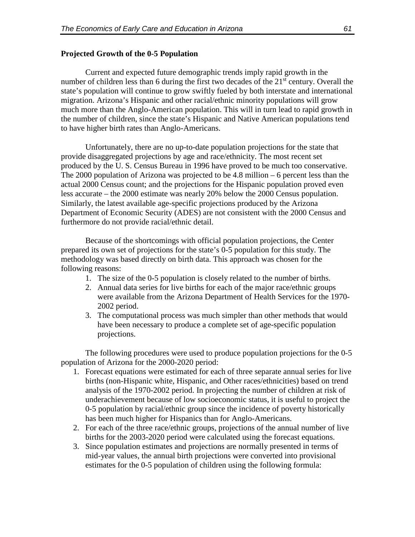#### **Projected Growth of the 0-5 Population**

Current and expected future demographic trends imply rapid growth in the number of children less than 6 during the first two decades of the  $21<sup>st</sup>$  century. Overall the state's population will continue to grow swiftly fueled by both interstate and international migration. Arizona's Hispanic and other racial/ethnic minority populations will grow much more than the Anglo-American population. This will in turn lead to rapid growth in the number of children, since the state's Hispanic and Native American populations tend to have higher birth rates than Anglo-Americans.

Unfortunately, there are no up-to-date population projections for the state that provide disaggregated projections by age and race/ethnicity. The most recent set produced by the U. S. Census Bureau in 1996 have proved to be much too conservative. The 2000 population of Arizona was projected to be 4.8 million – 6 percent less than the actual 2000 Census count; and the projections for the Hispanic population proved even less accurate – the 2000 estimate was nearly 20% below the 2000 Census population. Similarly, the latest available age-specific projections produced by the Arizona Department of Economic Security (ADES) are not consistent with the 2000 Census and furthermore do not provide racial/ethnic detail.

Because of the shortcomings with official population projections, the Center prepared its own set of projections for the state's 0-5 population for this study. The methodology was based directly on birth data. This approach was chosen for the following reasons:

- 1. The size of the 0-5 population is closely related to the number of births.
- 2. Annual data series for live births for each of the major race/ethnic groups were available from the Arizona Department of Health Services for the 1970- 2002 period.
- 3. The computational process was much simpler than other methods that would have been necessary to produce a complete set of age-specific population projections.

The following procedures were used to produce population projections for the 0-5 population of Arizona for the 2000-2020 period:

- 1. Forecast equations were estimated for each of three separate annual series for live births (non-Hispanic white, Hispanic, and Other races/ethnicities) based on trend analysis of the 1970-2002 period. In projecting the number of children at risk of underachievement because of low socioeconomic status, it is useful to project the 0-5 population by racial/ethnic group since the incidence of poverty historically has been much higher for Hispanics than for Anglo-Americans.
- 2. For each of the three race/ethnic groups, projections of the annual number of live births for the 2003-2020 period were calculated using the forecast equations.
- 3. Since population estimates and projections are normally presented in terms of mid-year values, the annual birth projections were converted into provisional estimates for the 0-5 population of children using the following formula: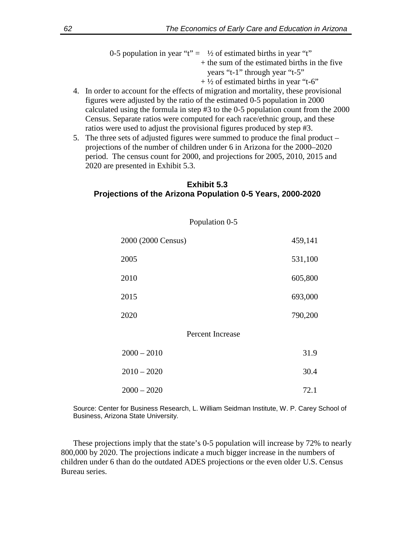|                                | 0-5 population in year "t" = $\frac{1}{2}$ of estimated births in year "t" |
|--------------------------------|----------------------------------------------------------------------------|
|                                | + the sum of the estimated births in the five                              |
| years "t-1" through year "t-5" |                                                                            |
|                                | $+ \frac{1}{2}$ of estimated births in year "t-6"                          |

- 4. In order to account for the effects of migration and mortality, these provisional figures were adjusted by the ratio of the estimated 0-5 population in 2000 calculated using the formula in step #3 to the 0-5 population count from the 2000 Census. Separate ratios were computed for each race/ethnic group, and these ratios were used to adjust the provisional figures produced by step #3.
- 5. The three sets of adjusted figures were summed to produce the final product projections of the number of children under 6 in Arizona for the 2000–2020 period. The census count for 2000, and projections for 2005, 2010, 2015 and 2020 are presented in Exhibit 5.3.

## **Exhibit 5.3 Projections of the Arizona Population 0-5 Years, 2000-2020**

| Population 0-5     |         |
|--------------------|---------|
| 2000 (2000 Census) | 459,141 |
| 2005               | 531,100 |
| 2010               | 605,800 |
| 2015               | 693,000 |
| 2020               | 790,200 |
| Percent Increase   |         |
| $2000 - 2010$      | 31.9    |
| $2010 - 2020$      | 30.4    |
| $2000 - 2020$      | 72.1    |

Source: Center for Business Research, L. William Seidman Institute, W. P. Carey School of Business, Arizona State University.

These projections imply that the state's 0-5 population will increase by 72% to nearly 800,000 by 2020. The projections indicate a much bigger increase in the numbers of children under 6 than do the outdated ADES projections or the even older U.S. Census Bureau series.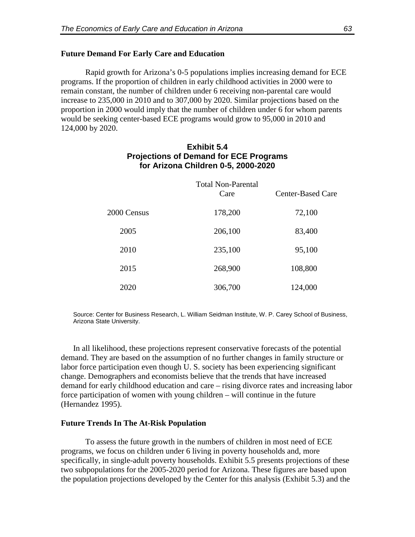#### **Future Demand For Early Care and Education**

Rapid growth for Arizona's 0-5 populations implies increasing demand for ECE programs. If the proportion of children in early childhood activities in 2000 were to remain constant, the number of children under 6 receiving non-parental care would increase to 235,000 in 2010 and to 307,000 by 2020. Similar projections based on the proportion in 2000 would imply that the number of children under 6 for whom parents would be seeking center-based ECE programs would grow to 95,000 in 2010 and 124,000 by 2020.

## **Exhibit 5.4 Projections of Demand for ECE Programs for Arizona Children 0-5, 2000-2020**

|             | <b>Total Non-Parental</b><br>Care | <b>Center-Based Care</b> |
|-------------|-----------------------------------|--------------------------|
| 2000 Census | 178,200                           | 72,100                   |
| 2005        | 206,100                           | 83,400                   |
| 2010        | 235,100                           | 95,100                   |
| 2015        | 268,900                           | 108,800                  |
| 2020        | 306,700                           | 124,000                  |

Source: Center for Business Research, L. William Seidman Institute, W. P. Carey School of Business, Arizona State University.

In all likelihood, these projections represent conservative forecasts of the potential demand. They are based on the assumption of no further changes in family structure or labor force participation even though U. S. society has been experiencing significant change. Demographers and economists believe that the trends that have increased demand for early childhood education and care – rising divorce rates and increasing labor force participation of women with young children – will continue in the future (Hernandez 1995).

#### **Future Trends In The At-Risk Population**

To assess the future growth in the numbers of children in most need of ECE programs, we focus on children under 6 living in poverty households and, more specifically, in single-adult poverty households. Exhibit 5.5 presents projections of these two subpopulations for the 2005-2020 period for Arizona. These figures are based upon the population projections developed by the Center for this analysis (Exhibit 5.3) and the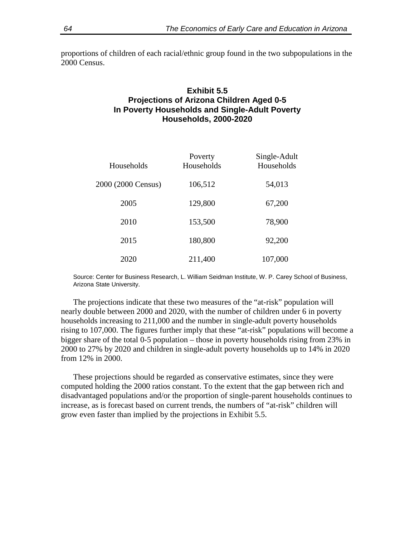proportions of children of each racial/ethnic group found in the two subpopulations in the 2000 Census.

## **Exhibit 5.5 Projections of Arizona Children Aged 0-5 In Poverty Households and Single-Adult Poverty Households, 2000-2020**

| Households         | Poverty<br>Households | Single-Adult<br>Households |
|--------------------|-----------------------|----------------------------|
| 2000 (2000 Census) | 106,512               | 54,013                     |
| 2005               | 129,800               | 67,200                     |
| 2010               | 153,500               | 78,900                     |
| 2015               | 180,800               | 92,200                     |
| 2020               | 211,400               | 107,000                    |

Source: Center for Business Research, L. William Seidman Institute, W. P. Carey School of Business, Arizona State University.

The projections indicate that these two measures of the "at-risk" population will nearly double between 2000 and 2020, with the number of children under 6 in poverty households increasing to 211,000 and the number in single-adult poverty households rising to 107,000. The figures further imply that these "at-risk" populations will become a bigger share of the total 0-5 population – those in poverty households rising from 23% in 2000 to 27% by 2020 and children in single-adult poverty households up to 14% in 2020 from 12% in 2000.

These projections should be regarded as conservative estimates, since they were computed holding the 2000 ratios constant. To the extent that the gap between rich and disadvantaged populations and/or the proportion of single-parent households continues to increase, as is forecast based on current trends, the numbers of "at-risk" children will grow even faster than implied by the projections in Exhibit 5.5.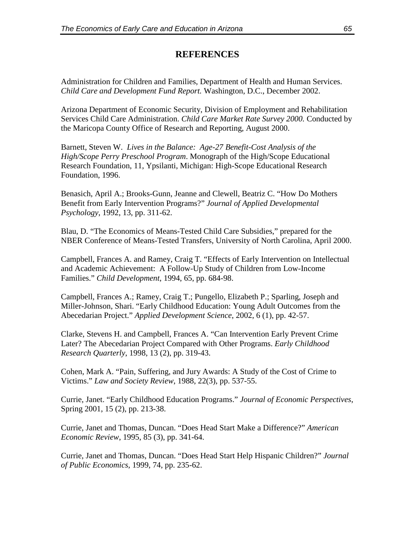## **REFERENCES**

Administration for Children and Families, Department of Health and Human Services. *Child Care and Development Fund Report.* Washington, D.C., December 2002.

Arizona Department of Economic Security, Division of Employment and Rehabilitation Services Child Care Administration. *Child Care Market Rate Survey 2000.* Conducted by the Maricopa County Office of Research and Reporting, August 2000.

Barnett, Steven W. *Lives in the Balance: Age-27 Benefit-Cost Analysis of the High/Scope Perry Preschool Program*. Monograph of the High/Scope Educational Research Foundation, 11, Ypsilanti, Michigan: High-Scope Educational Research Foundation, 1996.

Benasich, April A.; Brooks-Gunn, Jeanne and Clewell, Beatriz C. "How Do Mothers Benefit from Early Intervention Programs?" *Journal of Applied Developmental Psychology*, 1992, 13, pp. 311-62.

Blau, D. "The Economics of Means-Tested Child Care Subsidies," prepared for the NBER Conference of Means-Tested Transfers, University of North Carolina, April 2000.

Campbell, Frances A. and Ramey, Craig T. "Effects of Early Intervention on Intellectual and Academic Achievement: A Follow-Up Study of Children from Low-Income Families." *Child Development*, 1994, 65, pp. 684-98.

Campbell, Frances A.; Ramey, Craig T.; Pungello, Elizabeth P.; Sparling, Joseph and Miller-Johnson, Shari. "Early Childhood Education: Young Adult Outcomes from the Abecedarian Project." *Applied Development Science*, 2002, 6 (1), pp. 42-57.

Clarke, Stevens H. and Campbell, Frances A. "Can Intervention Early Prevent Crime Later? The Abecedarian Project Compared with Other Programs. *Early Childhood Research Quarterly*, 1998, 13 (2), pp. 319-43.

Cohen, Mark A. "Pain, Suffering, and Jury Awards: A Study of the Cost of Crime to Victims." *Law and Society Review*, 1988, 22(3), pp. 537-55.

Currie, Janet. "Early Childhood Education Programs." *Journal of Economic Perspectives*, Spring 2001, 15 (2), pp. 213-38.

Currie, Janet and Thomas, Duncan. "Does Head Start Make a Difference?" *American Economic Review*, 1995, 85 (3), pp. 341-64.

Currie, Janet and Thomas, Duncan. "Does Head Start Help Hispanic Children?" *Journal of Public Economics*, 1999, 74, pp. 235-62.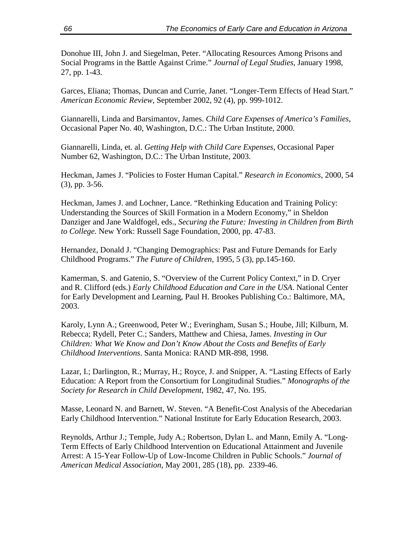Donohue III, John J. and Siegelman, Peter. "Allocating Resources Among Prisons and Social Programs in the Battle Against Crime." *Journal of Legal Studies*, January 1998, 27, pp. 1-43.

Garces, Eliana; Thomas, Duncan and Currie, Janet. "Longer-Term Effects of Head Start." *American Economic Review*, September 2002, 92 (4), pp. 999-1012.

Giannarelli, Linda and Barsimantov, James. *Child Care Expenses of America's Families*, Occasional Paper No. 40, Washington, D.C.: The Urban Institute, 2000.

Giannarelli, Linda, et. al. *Getting Help with Child Care Expenses*, Occasional Paper Number 62, Washington, D.C.: The Urban Institute, 2003.

Heckman, James J. "Policies to Foster Human Capital." *Research in Economics*, 2000, 54 (3), pp. 3-56.

Heckman, James J. and Lochner, Lance. "Rethinking Education and Training Policy: Understanding the Sources of Skill Formation in a Modern Economy," in Sheldon Danziger and Jane Waldfogel, eds., *Securing the Future: Investing in Children from Birth to College.* New York: Russell Sage Foundation, 2000, pp. 47-83.

Hernandez, Donald J. "Changing Demographics: Past and Future Demands for Early Childhood Programs." *The Future of Children*, 1995, 5 (3), pp.145-160.

Kamerman, S. and Gatenio, S. "Overview of the Current Policy Context," in D. Cryer and R. Clifford (eds.) *Early Childhood Education and Care in the USA*. National Center for Early Development and Learning, Paul H. Brookes Publishing Co.: Baltimore, MA, 2003.

Karoly, Lynn A.; Greenwood, Peter W.; Everingham, Susan S.; Hoube, Jill; Kilburn, M. Rebecca; Rydell, Peter C.; Sanders, Matthew and Chiesa, James. *Investing in Our Children: What We Know and Don't Know About the Costs and Benefits of Early Childhood Interventions*. Santa Monica: RAND MR-898, 1998.

Lazar, I.; Darlington, R.; Murray, H.; Royce, J. and Snipper, A. "Lasting Effects of Early Education: A Report from the Consortium for Longitudinal Studies." *Monographs of the Society for Research in Child Development*, 1982, 47, No. 195.

Masse, Leonard N. and Barnett, W. Steven. "A Benefit-Cost Analysis of the Abecedarian Early Childhood Intervention." National Institute for Early Education Research, 2003.

Reynolds, Arthur J.; Temple, Judy A.; Robertson, Dylan L. and Mann, Emily A. "Long-Term Effects of Early Childhood Intervention on Educational Attainment and Juvenile Arrest: A 15-Year Follow-Up of Low-Income Children in Public Schools." *Journal of American Medical Association*, May 2001, 285 (18), pp. 2339-46.